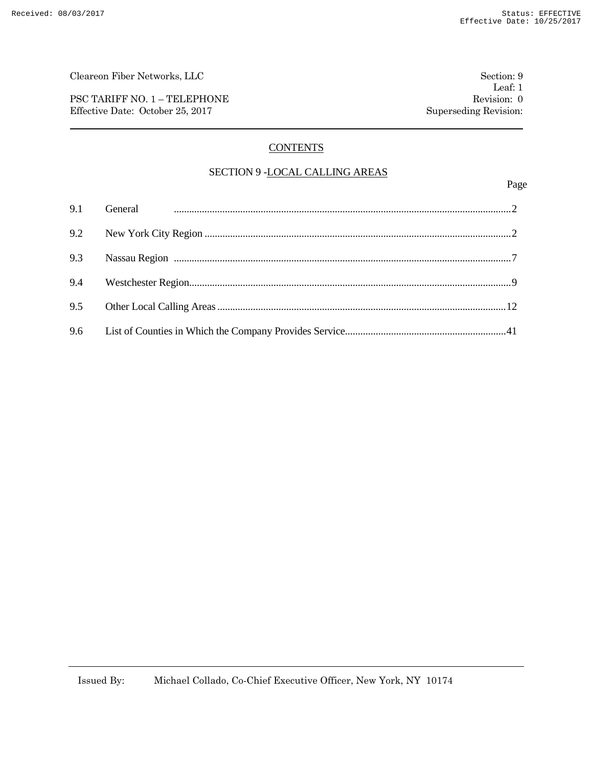PSC TARIFF NO. 1 – TELEPHONE Revision: 0 Effective Date: October 25, 2017 Superseding Revision:

### **CONTENTS**

### SECTION 9 -LOCAL CALLING AREAS

Page

| 9.1 General music members of the contract of the contract of the contract of the contract of the contract of the contract of the contract of the contract of the contract of the contract of the contract of the contract of t |  |
|--------------------------------------------------------------------------------------------------------------------------------------------------------------------------------------------------------------------------------|--|
|                                                                                                                                                                                                                                |  |
|                                                                                                                                                                                                                                |  |
|                                                                                                                                                                                                                                |  |
|                                                                                                                                                                                                                                |  |
|                                                                                                                                                                                                                                |  |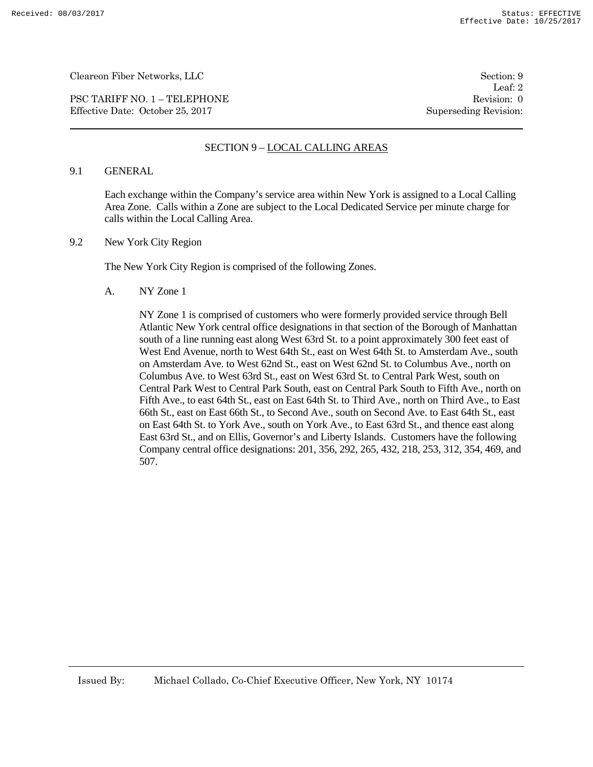PSC TARIFF NO. 1 – TELEPHONE Revision: 0 Effective Date: October 25, 2017 Superseding Revision:

Leaf: 2

### SECTION 9 – LOCAL CALLING AREAS

#### 9.1 GENERAL

Each exchange within the Company's service area within New York is assigned to a Local Calling Area Zone. Calls within a Zone are subject to the Local Dedicated Service per minute charge for calls within the Local Calling Area.

9.2 New York City Region

The New York City Region is comprised of the following Zones.

A. NY Zone 1

NY Zone 1 is comprised of customers who were formerly provided service through Bell Atlantic New York central office designations in that section of the Borough of Manhattan south of a line running east along West 63rd St. to a point approximately 300 feet east of West End Avenue, north to West 64th St., east on West 64th St. to Amsterdam Ave., south on Amsterdam Ave. to West 62nd St., east on West 62nd St. to Columbus Ave., north on Columbus Ave. to West 63rd St., east on West 63rd St. to Central Park West, south on Central Park West to Central Park South, east on Central Park South to Fifth Ave., north on Fifth Ave., to east 64th St., east on East 64th St. to Third Ave., north on Third Ave., to East 66th St., east on East 66th St., to Second Ave., south on Second Ave. to East 64th St., east on East 64th St. to York Ave., south on York Ave., to East 63rd St., and thence east along East 63rd St., and on Ellis, Governor's and Liberty Islands. Customers have the following Company central office designations: 201, 356, 292, 265, 432, 218, 253, 312, 354, 469, and 507.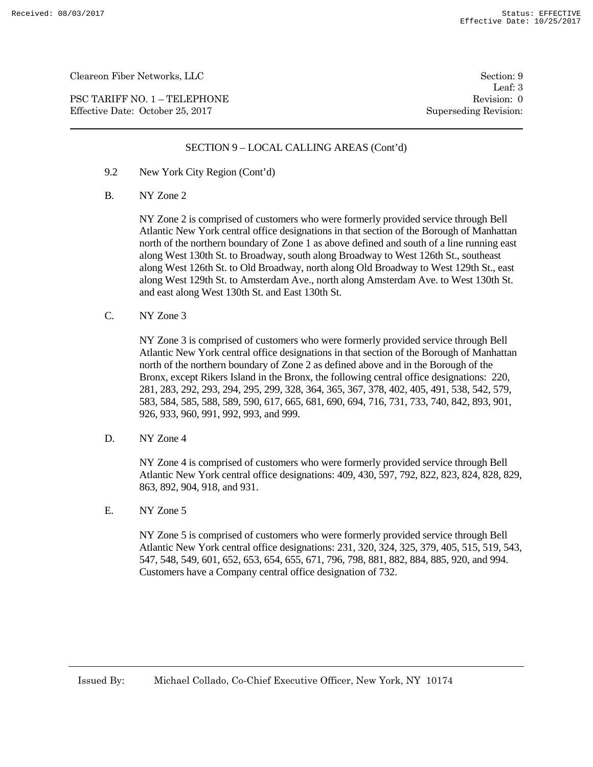PSC TARIFF NO. 1 – TELEPHONE Revision: 0 Effective Date: October 25, 2017 Superseding Revision:

Leaf: 3

### SECTION 9 – LOCAL CALLING AREAS (Cont'd)

- 9.2 New York City Region (Cont'd)
- B. NY Zone 2

NY Zone 2 is comprised of customers who were formerly provided service through Bell Atlantic New York central office designations in that section of the Borough of Manhattan north of the northern boundary of Zone 1 as above defined and south of a line running east along West 130th St. to Broadway, south along Broadway to West 126th St., southeast along West 126th St. to Old Broadway, north along Old Broadway to West 129th St., east along West 129th St. to Amsterdam Ave., north along Amsterdam Ave. to West 130th St. and east along West 130th St. and East 130th St.

C. NY Zone 3

NY Zone 3 is comprised of customers who were formerly provided service through Bell Atlantic New York central office designations in that section of the Borough of Manhattan north of the northern boundary of Zone 2 as defined above and in the Borough of the Bronx, except Rikers Island in the Bronx, the following central office designations: 220, 281, 283, 292, 293, 294, 295, 299, 328, 364, 365, 367, 378, 402, 405, 491, 538, 542, 579, 583, 584, 585, 588, 589, 590, 617, 665, 681, 690, 694, 716, 731, 733, 740, 842, 893, 901, 926, 933, 960, 991, 992, 993, and 999.

D. NY Zone 4

NY Zone 4 is comprised of customers who were formerly provided service through Bell Atlantic New York central office designations: 409, 430, 597, 792, 822, 823, 824, 828, 829, 863, 892, 904, 918, and 931.

E. NY Zone 5

NY Zone 5 is comprised of customers who were formerly provided service through Bell Atlantic New York central office designations: 231, 320, 324, 325, 379, 405, 515, 519, 543, 547, 548, 549, 601, 652, 653, 654, 655, 671, 796, 798, 881, 882, 884, 885, 920, and 994. Customers have a Company central office designation of 732.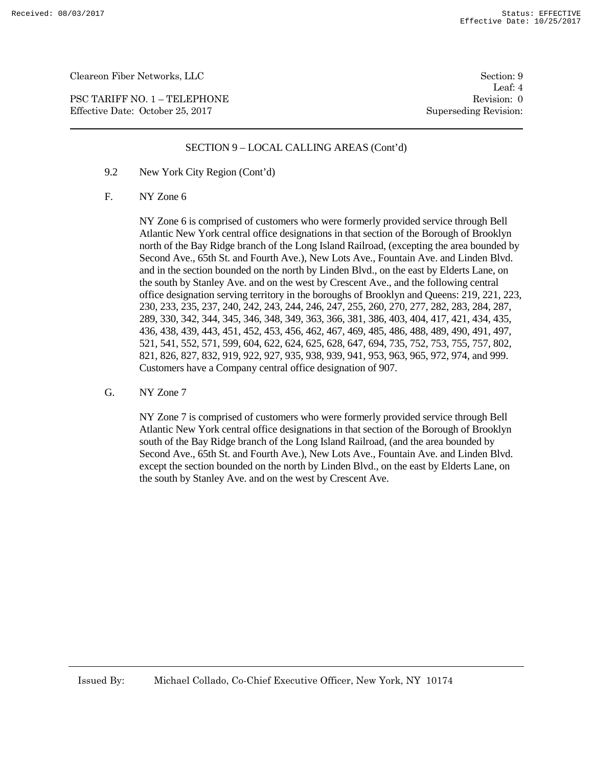PSC TARIFF NO. 1 – TELEPHONE Revision: 0 Effective Date: October 25, 2017 Superseding Revision:

Leaf: 4

#### SECTION 9 – LOCAL CALLING AREAS (Cont'd)

- 9.2 New York City Region (Cont'd)
- F. NY Zone 6

NY Zone 6 is comprised of customers who were formerly provided service through Bell Atlantic New York central office designations in that section of the Borough of Brooklyn north of the Bay Ridge branch of the Long Island Railroad, (excepting the area bounded by Second Ave., 65th St. and Fourth Ave.), New Lots Ave., Fountain Ave. and Linden Blvd. and in the section bounded on the north by Linden Blvd., on the east by Elderts Lane, on the south by Stanley Ave. and on the west by Crescent Ave., and the following central office designation serving territory in the boroughs of Brooklyn and Queens: 219, 221, 223, 230, 233, 235, 237, 240, 242, 243, 244, 246, 247, 255, 260, 270, 277, 282, 283, 284, 287, 289, 330, 342, 344, 345, 346, 348, 349, 363, 366, 381, 386, 403, 404, 417, 421, 434, 435, 436, 438, 439, 443, 451, 452, 453, 456, 462, 467, 469, 485, 486, 488, 489, 490, 491, 497, 521, 541, 552, 571, 599, 604, 622, 624, 625, 628, 647, 694, 735, 752, 753, 755, 757, 802, 821, 826, 827, 832, 919, 922, 927, 935, 938, 939, 941, 953, 963, 965, 972, 974, and 999. Customers have a Company central office designation of 907.

G. NY Zone 7

NY Zone 7 is comprised of customers who were formerly provided service through Bell Atlantic New York central office designations in that section of the Borough of Brooklyn south of the Bay Ridge branch of the Long Island Railroad, (and the area bounded by Second Ave., 65th St. and Fourth Ave.), New Lots Ave., Fountain Ave. and Linden Blvd. except the section bounded on the north by Linden Blvd., on the east by Elderts Lane, on the south by Stanley Ave. and on the west by Crescent Ave.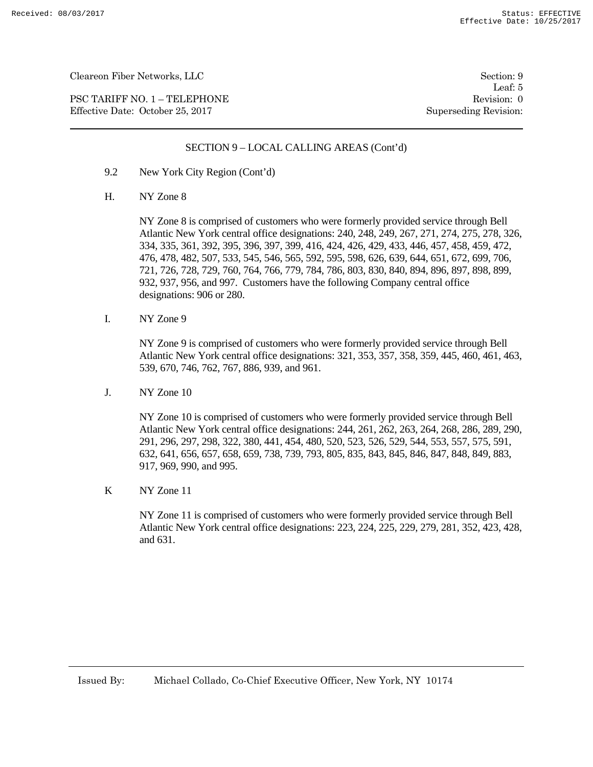PSC TARIFF NO. 1 – TELEPHONE Revision: 0 Effective Date: October 25, 2017 Superseding Revision:

Leaf: 5

### SECTION 9 – LOCAL CALLING AREAS (Cont'd)

- 9.2 New York City Region (Cont'd)
- H. NY Zone 8

NY Zone 8 is comprised of customers who were formerly provided service through Bell Atlantic New York central office designations: 240, 248, 249, 267, 271, 274, 275, 278, 326, 334, 335, 361, 392, 395, 396, 397, 399, 416, 424, 426, 429, 433, 446, 457, 458, 459, 472, 476, 478, 482, 507, 533, 545, 546, 565, 592, 595, 598, 626, 639, 644, 651, 672, 699, 706, 721, 726, 728, 729, 760, 764, 766, 779, 784, 786, 803, 830, 840, 894, 896, 897, 898, 899, 932, 937, 956, and 997. Customers have the following Company central office designations: 906 or 280.

I. NY Zone 9

NY Zone 9 is comprised of customers who were formerly provided service through Bell Atlantic New York central office designations: 321, 353, 357, 358, 359, 445, 460, 461, 463, 539, 670, 746, 762, 767, 886, 939, and 961.

J. NY Zone 10

NY Zone 10 is comprised of customers who were formerly provided service through Bell Atlantic New York central office designations: 244, 261, 262, 263, 264, 268, 286, 289, 290, 291, 296, 297, 298, 322, 380, 441, 454, 480, 520, 523, 526, 529, 544, 553, 557, 575, 591, 632, 641, 656, 657, 658, 659, 738, 739, 793, 805, 835, 843, 845, 846, 847, 848, 849, 883, 917, 969, 990, and 995.

K NY Zone 11

NY Zone 11 is comprised of customers who were formerly provided service through Bell Atlantic New York central office designations: 223, 224, 225, 229, 279, 281, 352, 423, 428, and 631.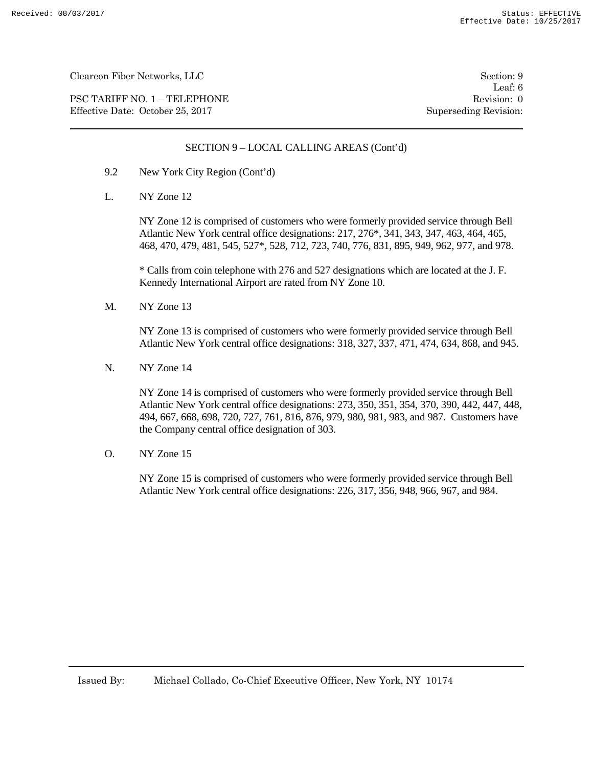PSC TARIFF NO. 1 – TELEPHONE Revision: 0 Effective Date: October 25, 2017 Superseding Revision:

Leaf: 6

### SECTION 9 – LOCAL CALLING AREAS (Cont'd)

- 9.2 New York City Region (Cont'd)
- L. NY Zone 12

NY Zone 12 is comprised of customers who were formerly provided service through Bell Atlantic New York central office designations: 217, 276\*, 341, 343, 347, 463, 464, 465, 468, 470, 479, 481, 545, 527\*, 528, 712, 723, 740, 776, 831, 895, 949, 962, 977, and 978.

\* Calls from coin telephone with 276 and 527 designations which are located at the J. F. Kennedy International Airport are rated from NY Zone 10.

M. NY Zone 13

NY Zone 13 is comprised of customers who were formerly provided service through Bell Atlantic New York central office designations: 318, 327, 337, 471, 474, 634, 868, and 945.

N. NY Zone 14

NY Zone 14 is comprised of customers who were formerly provided service through Bell Atlantic New York central office designations: 273, 350, 351, 354, 370, 390, 442, 447, 448, 494, 667, 668, 698, 720, 727, 761, 816, 876, 979, 980, 981, 983, and 987. Customers have the Company central office designation of 303.

O. NY Zone 15

NY Zone 15 is comprised of customers who were formerly provided service through Bell Atlantic New York central office designations: 226, 317, 356, 948, 966, 967, and 984.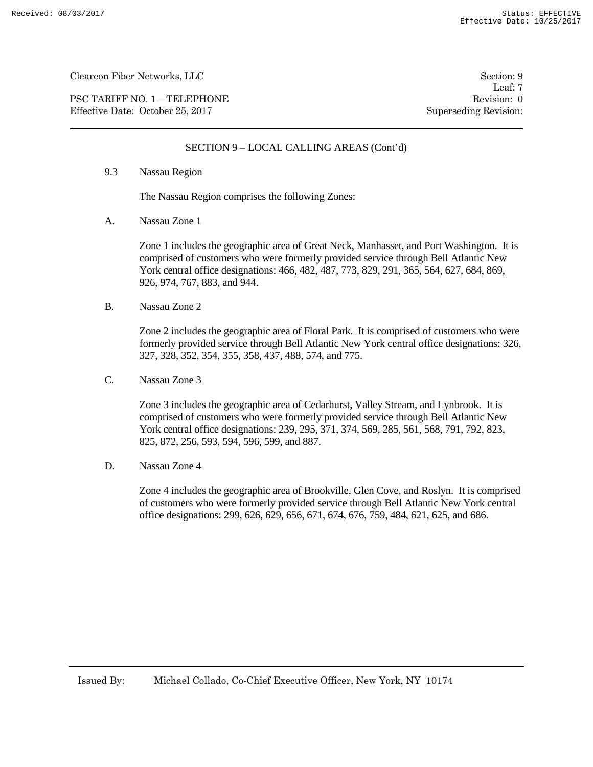PSC TARIFF NO. 1 – TELEPHONE Revision: 0 Effective Date: October 25, 2017 Superseding Revision:

Leaf: 7

### SECTION 9 – LOCAL CALLING AREAS (Cont'd)

9.3 Nassau Region

The Nassau Region comprises the following Zones:

A. Nassau Zone 1

Zone 1 includes the geographic area of Great Neck, Manhasset, and Port Washington. It is comprised of customers who were formerly provided service through Bell Atlantic New York central office designations: 466, 482, 487, 773, 829, 291, 365, 564, 627, 684, 869, 926, 974, 767, 883, and 944.

B. Nassau Zone 2

Zone 2 includes the geographic area of Floral Park. It is comprised of customers who were formerly provided service through Bell Atlantic New York central office designations: 326, 327, 328, 352, 354, 355, 358, 437, 488, 574, and 775.

C. Nassau Zone 3

Zone 3 includes the geographic area of Cedarhurst, Valley Stream, and Lynbrook. It is comprised of customers who were formerly provided service through Bell Atlantic New York central office designations: 239, 295, 371, 374, 569, 285, 561, 568, 791, 792, 823, 825, 872, 256, 593, 594, 596, 599, and 887.

D. Nassau Zone 4

Zone 4 includes the geographic area of Brookville, Glen Cove, and Roslyn. It is comprised of customers who were formerly provided service through Bell Atlantic New York central office designations: 299, 626, 629, 656, 671, 674, 676, 759, 484, 621, 625, and 686.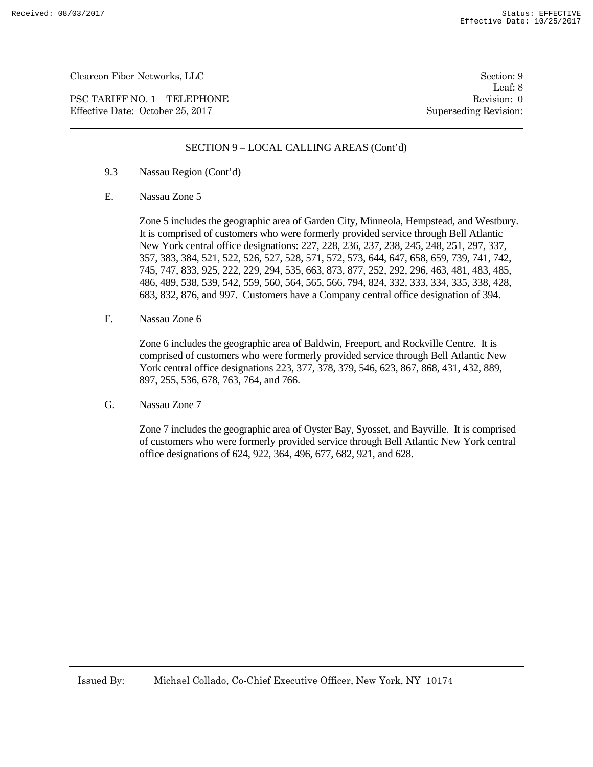PSC TARIFF NO. 1 – TELEPHONE Revision: 0 Effective Date: October 25, 2017 Superseding Revision:

Leaf: 8

### SECTION 9 – LOCAL CALLING AREAS (Cont'd)

- 9.3 Nassau Region (Cont'd)
- E. Nassau Zone 5

Zone 5 includes the geographic area of Garden City, Minneola, Hempstead, and Westbury. It is comprised of customers who were formerly provided service through Bell Atlantic New York central office designations: 227, 228, 236, 237, 238, 245, 248, 251, 297, 337, 357, 383, 384, 521, 522, 526, 527, 528, 571, 572, 573, 644, 647, 658, 659, 739, 741, 742, 745, 747, 833, 925, 222, 229, 294, 535, 663, 873, 877, 252, 292, 296, 463, 481, 483, 485, 486, 489, 538, 539, 542, 559, 560, 564, 565, 566, 794, 824, 332, 333, 334, 335, 338, 428, 683, 832, 876, and 997. Customers have a Company central office designation of 394.

F. Nassau Zone 6

Zone 6 includes the geographic area of Baldwin, Freeport, and Rockville Centre. It is comprised of customers who were formerly provided service through Bell Atlantic New York central office designations 223, 377, 378, 379, 546, 623, 867, 868, 431, 432, 889, 897, 255, 536, 678, 763, 764, and 766.

G. Nassau Zone 7

Zone 7 includes the geographic area of Oyster Bay, Syosset, and Bayville. It is comprised of customers who were formerly provided service through Bell Atlantic New York central office designations of 624, 922, 364, 496, 677, 682, 921, and 628.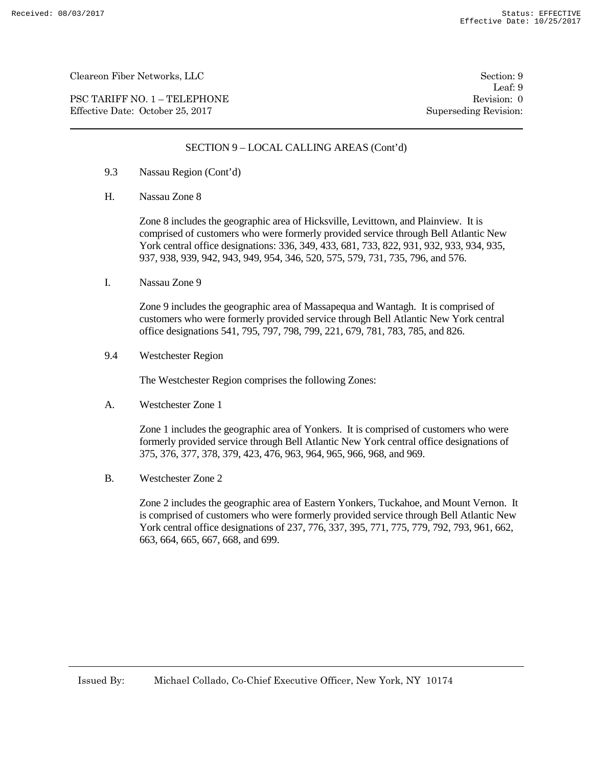PSC TARIFF NO. 1 – TELEPHONE Revision: 0 Effective Date: October 25, 2017 Superseding Revision:

Leaf: 9

### SECTION 9 – LOCAL CALLING AREAS (Cont'd)

- 9.3 Nassau Region (Cont'd)
- H. Nassau Zone 8

Zone 8 includes the geographic area of Hicksville, Levittown, and Plainview. It is comprised of customers who were formerly provided service through Bell Atlantic New York central office designations: 336, 349, 433, 681, 733, 822, 931, 932, 933, 934, 935, 937, 938, 939, 942, 943, 949, 954, 346, 520, 575, 579, 731, 735, 796, and 576.

I. Nassau Zone 9

Zone 9 includes the geographic area of Massapequa and Wantagh. It is comprised of customers who were formerly provided service through Bell Atlantic New York central office designations 541, 795, 797, 798, 799, 221, 679, 781, 783, 785, and 826.

9.4 Westchester Region

The Westchester Region comprises the following Zones:

A. Westchester Zone 1

Zone 1 includes the geographic area of Yonkers. It is comprised of customers who were formerly provided service through Bell Atlantic New York central office designations of 375, 376, 377, 378, 379, 423, 476, 963, 964, 965, 966, 968, and 969.

B. Westchester Zone 2

Zone 2 includes the geographic area of Eastern Yonkers, Tuckahoe, and Mount Vernon. It is comprised of customers who were formerly provided service through Bell Atlantic New York central office designations of 237, 776, 337, 395, 771, 775, 779, 792, 793, 961, 662, 663, 664, 665, 667, 668, and 699.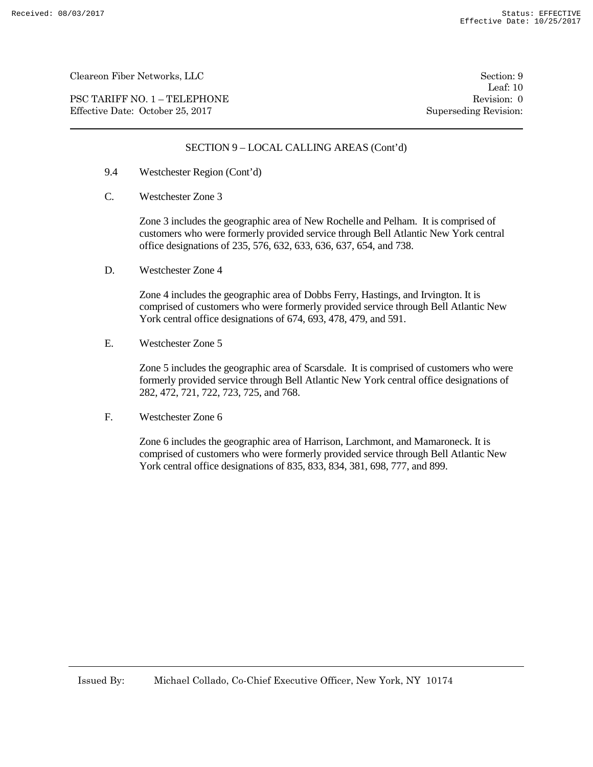PSC TARIFF NO. 1 – TELEPHONE Revision: 0 Effective Date: October 25, 2017 Superseding Revision:

Leaf: 10

### SECTION 9 – LOCAL CALLING AREAS (Cont'd)

- 9.4 Westchester Region (Cont'd)
- C. Westchester Zone 3

Zone 3 includes the geographic area of New Rochelle and Pelham. It is comprised of customers who were formerly provided service through Bell Atlantic New York central office designations of 235, 576, 632, 633, 636, 637, 654, and 738.

D. Westchester Zone 4

Zone 4 includes the geographic area of Dobbs Ferry, Hastings, and Irvington. It is comprised of customers who were formerly provided service through Bell Atlantic New York central office designations of 674, 693, 478, 479, and 591.

E. Westchester Zone 5

Zone 5 includes the geographic area of Scarsdale. It is comprised of customers who were formerly provided service through Bell Atlantic New York central office designations of 282, 472, 721, 722, 723, 725, and 768.

F. Westchester Zone 6

Zone 6 includes the geographic area of Harrison, Larchmont, and Mamaroneck. It is comprised of customers who were formerly provided service through Bell Atlantic New York central office designations of 835, 833, 834, 381, 698, 777, and 899.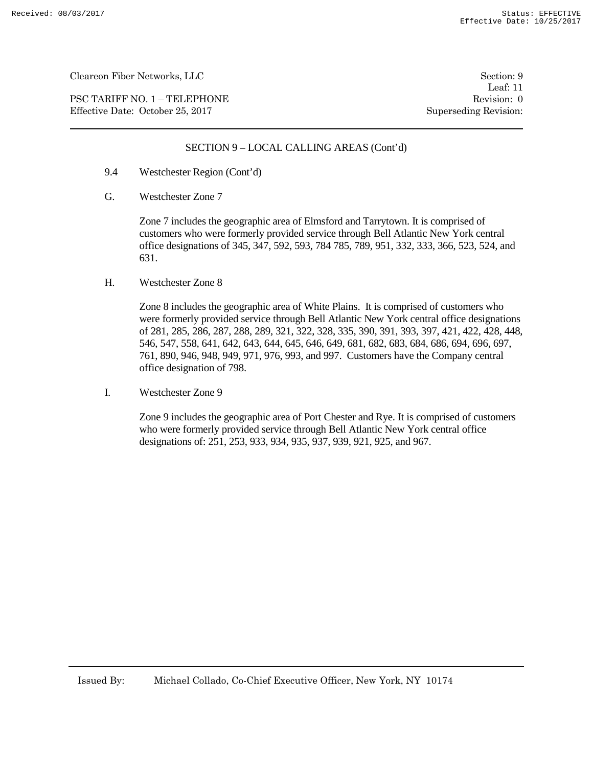PSC TARIFF NO. 1 – TELEPHONE Revision: 0 Effective Date: October 25, 2017 Superseding Revision:

Leaf: 11

#### SECTION 9 – LOCAL CALLING AREAS (Cont'd)

- 9.4 Westchester Region (Cont'd)
- G. Westchester Zone 7

Zone 7 includes the geographic area of Elmsford and Tarrytown. It is comprised of customers who were formerly provided service through Bell Atlantic New York central office designations of 345, 347, 592, 593, 784 785, 789, 951, 332, 333, 366, 523, 524, and 631.

H. Westchester Zone 8

Zone 8 includes the geographic area of White Plains. It is comprised of customers who were formerly provided service through Bell Atlantic New York central office designations of 281, 285, 286, 287, 288, 289, 321, 322, 328, 335, 390, 391, 393, 397, 421, 422, 428, 448, 546, 547, 558, 641, 642, 643, 644, 645, 646, 649, 681, 682, 683, 684, 686, 694, 696, 697, 761, 890, 946, 948, 949, 971, 976, 993, and 997. Customers have the Company central office designation of 798.

I. Westchester Zone 9

Zone 9 includes the geographic area of Port Chester and Rye. It is comprised of customers who were formerly provided service through Bell Atlantic New York central office designations of: 251, 253, 933, 934, 935, 937, 939, 921, 925, and 967.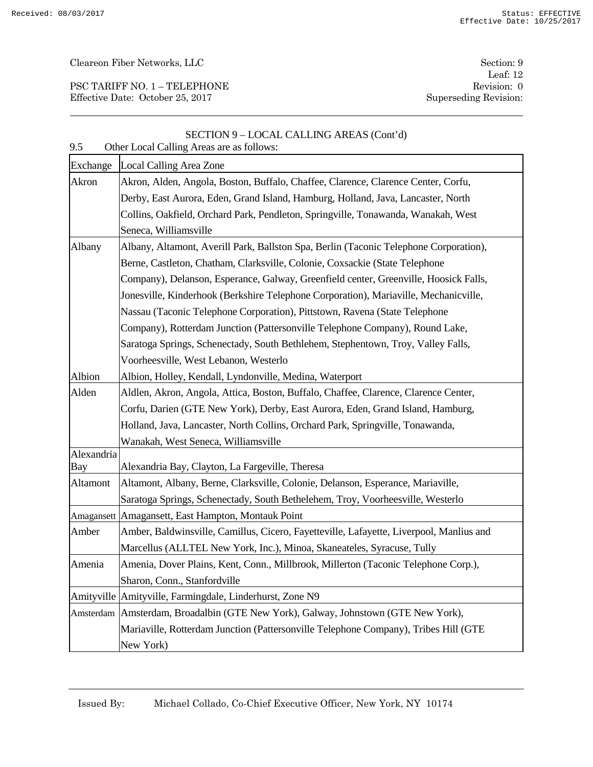PSC TARIFF NO. 1 – TELEPHONE Effective Date: October 25, 2017 Superseding Revision:

| 9.5               | Other Local Calling Areas are as follows:                                               |
|-------------------|-----------------------------------------------------------------------------------------|
| Exchange          | Local Calling Area Zone                                                                 |
| Akron             | Akron, Alden, Angola, Boston, Buffalo, Chaffee, Clarence, Clarence Center, Corfu,       |
|                   | Derby, East Aurora, Eden, Grand Island, Hamburg, Holland, Java, Lancaster, North        |
|                   | Collins, Oakfield, Orchard Park, Pendleton, Springville, Tonawanda, Wanakah, West       |
|                   | Seneca, Williamsville                                                                   |
| Albany            | Albany, Altamont, Averill Park, Ballston Spa, Berlin (Taconic Telephone Corporation),   |
|                   | Berne, Castleton, Chatham, Clarksville, Colonie, Coxsackie (State Telephone             |
|                   | Company), Delanson, Esperance, Galway, Greenfield center, Greenville, Hoosick Falls,    |
|                   | Jonesville, Kinderhook (Berkshire Telephone Corporation), Mariaville, Mechanicville,    |
|                   | Nassau (Taconic Telephone Corporation), Pittstown, Ravena (State Telephone              |
|                   | Company), Rotterdam Junction (Pattersonville Telephone Company), Round Lake,            |
|                   | Saratoga Springs, Schenectady, South Bethlehem, Stephentown, Troy, Valley Falls,        |
|                   | Voorheesville, West Lebanon, Westerlo                                                   |
| Albion            | Albion, Holley, Kendall, Lyndonville, Medina, Waterport                                 |
| Alden             | Aldlen, Akron, Angola, Attica, Boston, Buffalo, Chaffee, Clarence, Clarence Center,     |
|                   | Corfu, Darien (GTE New York), Derby, East Aurora, Eden, Grand Island, Hamburg,          |
|                   | Holland, Java, Lancaster, North Collins, Orchard Park, Springville, Tonawanda,          |
|                   | Wanakah, West Seneca, Williamsville                                                     |
| Alexandria<br>Bay | Alexandria Bay, Clayton, La Fargeville, Theresa                                         |
| Altamont          | Altamont, Albany, Berne, Clarksville, Colonie, Delanson, Esperance, Mariaville,         |
|                   | Saratoga Springs, Schenectady, South Bethelehem, Troy, Voorheesville, Westerlo          |
|                   | Amagansett   Amagansett, East Hampton, Montauk Point                                    |
| Amber             | Amber, Baldwinsville, Camillus, Cicero, Fayetteville, Lafayette, Liverpool, Manlius and |
|                   | Marcellus (ALLTEL New York, Inc.), Minoa, Skaneateles, Syracuse, Tully                  |
| Amenia            | Amenia, Dover Plains, Kent, Conn., Millbrook, Millerton (Taconic Telephone Corp.),      |
|                   | Sharon, Conn., Stanfordville                                                            |
|                   | Amityville Amityville, Farmingdale, Linderhurst, Zone N9                                |
| Amsterdam         | Amsterdam, Broadalbin (GTE New York), Galway, Johnstown (GTE New York),                 |
|                   | Mariaville, Rotterdam Junction (Pattersonville Telephone Company), Tribes Hill (GTE     |
|                   | New York)                                                                               |

# SECTION 9 – LOCAL CALLING AREAS (Cont'd)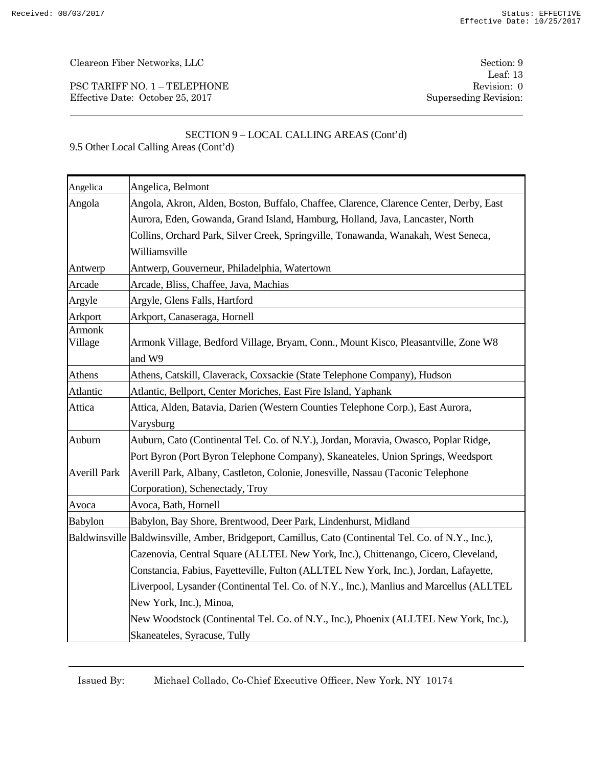PSC TARIFF NO. 1 – TELEPHONE Effective Date: October 25, 2017 Superseding Revision:

Leaf: 13<br>Revision: 0

### SECTION 9 – LOCAL CALLING AREAS (Cont'd)

9.5 Other Local Calling Areas (Cont'd)

| Angelica                 | Angelica, Belmont                                                                                    |
|--------------------------|------------------------------------------------------------------------------------------------------|
| Angola                   | Angola, Akron, Alden, Boston, Buffalo, Chaffee, Clarence, Clarence Center, Derby, East               |
|                          | Aurora, Eden, Gowanda, Grand Island, Hamburg, Holland, Java, Lancaster, North                        |
|                          | Collins, Orchard Park, Silver Creek, Springville, Tonawanda, Wanakah, West Seneca,                   |
|                          | Williamsville                                                                                        |
| Antwerp                  | Antwerp, Gouverneur, Philadelphia, Watertown                                                         |
| Arcade                   | Arcade, Bliss, Chaffee, Java, Machias                                                                |
| Argyle                   | Argyle, Glens Falls, Hartford                                                                        |
| Arkport                  | Arkport, Canaseraga, Hornell                                                                         |
| <b>Armonk</b><br>Village | Armonk Village, Bedford Village, Bryam, Conn., Mount Kisco, Pleasantville, Zone W8<br>and W9         |
| Athens                   | Athens, Catskill, Claverack, Coxsackie (State Telephone Company), Hudson                             |
| Atlantic                 | Atlantic, Bellport, Center Moriches, East Fire Island, Yaphank                                       |
| Attica                   | Attica, Alden, Batavia, Darien (Western Counties Telephone Corp.), East Aurora,                      |
|                          | Varysburg                                                                                            |
| Auburn                   | Auburn, Cato (Continental Tel. Co. of N.Y.), Jordan, Moravia, Owasco, Poplar Ridge,                  |
|                          | Port Byron (Port Byron Telephone Company), Skaneateles, Union Springs, Weedsport                     |
| <b>Averill Park</b>      | Averill Park, Albany, Castleton, Colonie, Jonesville, Nassau (Taconic Telephone                      |
|                          | Corporation), Schenectady, Troy                                                                      |
| Avoca                    | Avoca, Bath, Hornell                                                                                 |
| <b>Babylon</b>           | Babylon, Bay Shore, Brentwood, Deer Park, Lindenhurst, Midland                                       |
|                          | Baldwinsville Baldwinsville, Amber, Bridgeport, Camillus, Cato (Continental Tel. Co. of N.Y., Inc.), |
|                          | Cazenovia, Central Square (ALLTEL New York, Inc.), Chittenango, Cicero, Cleveland,                   |
|                          | Constancia, Fabius, Fayetteville, Fulton (ALLTEL New York, Inc.), Jordan, Lafayette,                 |
|                          | Liverpool, Lysander (Continental Tel. Co. of N.Y., Inc.), Manlius and Marcellus (ALLTEL              |
|                          | New York, Inc.), Minoa,                                                                              |
|                          | New Woodstock (Continental Tel. Co. of N.Y., Inc.), Phoenix (ALLTEL New York, Inc.),                 |
|                          | Skaneateles, Syracuse, Tully                                                                         |

Issued By: Michael Collado, Co-Chief Executive Officer, New York, NY 10174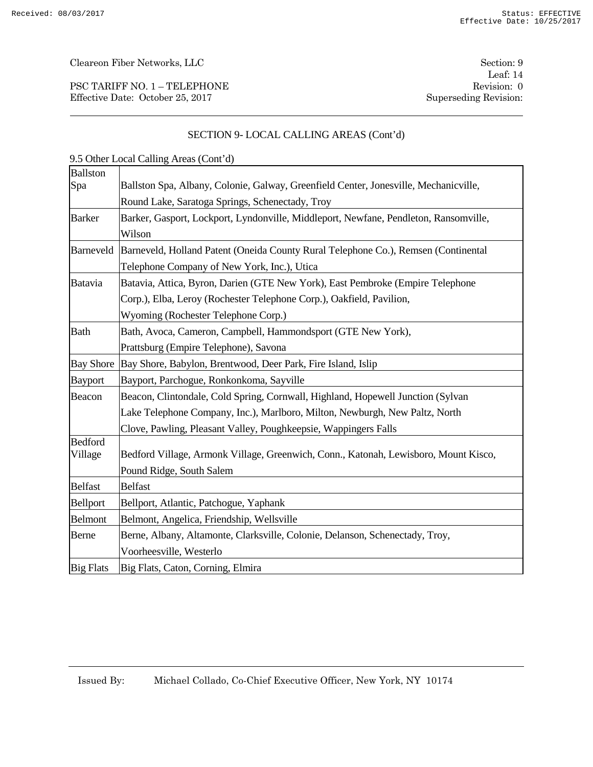PSC TARIFF NO. 1 – TELEPHONE Revision: 0 Effective Date: October 25, 2017 Superseding Revision:

### SECTION 9- LOCAL CALLING AREAS (Cont'd)

9.5 Other Local Calling Areas (Cont'd)

| Ballston Spa, Albany, Colonie, Galway, Greenfield Center, Jonesville, Mechanicville, |
|--------------------------------------------------------------------------------------|
| Round Lake, Saratoga Springs, Schenectady, Troy                                      |
| Barker, Gasport, Lockport, Lyndonville, Middleport, Newfane, Pendleton, Ransomville, |
| Wilson                                                                               |
| Barneveld, Holland Patent (Oneida County Rural Telephone Co.), Remsen (Continental   |
| Telephone Company of New York, Inc.), Utica                                          |
| Batavia, Attica, Byron, Darien (GTE New York), East Pembroke (Empire Telephone       |
| Corp.), Elba, Leroy (Rochester Telephone Corp.), Oakfield, Pavilion,                 |
| Wyoming (Rochester Telephone Corp.)                                                  |
| Bath, Avoca, Cameron, Campbell, Hammondsport (GTE New York),                         |
| Prattsburg (Empire Telephone), Savona                                                |
| Bay Shore, Babylon, Brentwood, Deer Park, Fire Island, Islip                         |
| Bayport, Parchogue, Ronkonkoma, Sayville                                             |
| Beacon, Clintondale, Cold Spring, Cornwall, Highland, Hopewell Junction (Sylvan)     |
| Lake Telephone Company, Inc.), Marlboro, Milton, Newburgh, New Paltz, North          |
| Clove, Pawling, Pleasant Valley, Poughkeepsie, Wappingers Falls                      |
|                                                                                      |
| Bedford Village, Armonk Village, Greenwich, Conn., Katonah, Lewisboro, Mount Kisco,  |
| Pound Ridge, South Salem                                                             |
| <b>Belfast</b>                                                                       |
| Bellport, Atlantic, Patchogue, Yaphank                                               |
| Belmont, Angelica, Friendship, Wellsville                                            |
| Berne, Albany, Altamonte, Clarksville, Colonie, Delanson, Schenectady, Troy,         |
| Voorheesville, Westerlo                                                              |
| Big Flats, Caton, Corning, Elmira                                                    |
|                                                                                      |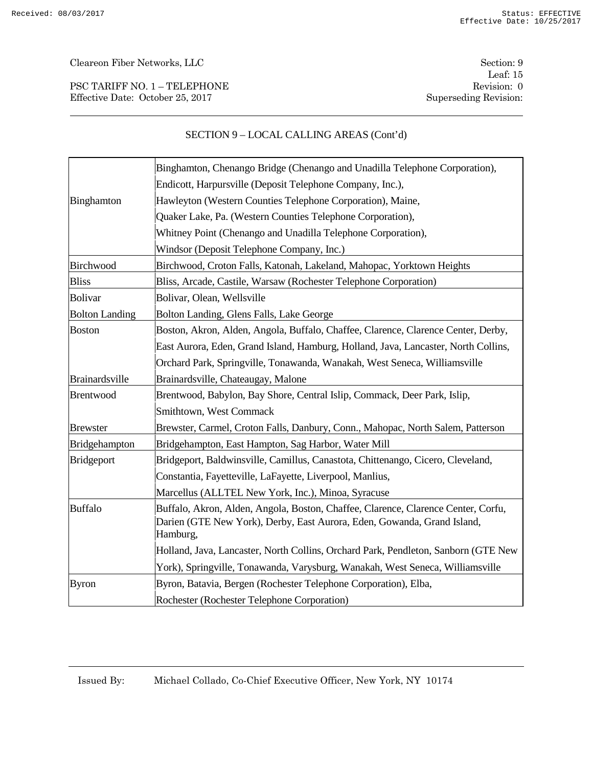PSC TARIFF NO. 1 – TELEPHONE Effective Date: October 25, 2017 Superseding Revision:

# SECTION 9 – LOCAL CALLING AREAS (Cont'd)

|                       | Binghamton, Chenango Bridge (Chenango and Unadilla Telephone Corporation),                                                                                               |
|-----------------------|--------------------------------------------------------------------------------------------------------------------------------------------------------------------------|
|                       | Endicott, Harpursville (Deposit Telephone Company, Inc.),                                                                                                                |
| <b>Binghamton</b>     | Hawleyton (Western Counties Telephone Corporation), Maine,                                                                                                               |
|                       | Quaker Lake, Pa. (Western Counties Telephone Corporation),                                                                                                               |
|                       | Whitney Point (Chenango and Unadilla Telephone Corporation),                                                                                                             |
|                       | Windsor (Deposit Telephone Company, Inc.)                                                                                                                                |
| <b>Birchwood</b>      | Birchwood, Croton Falls, Katonah, Lakeland, Mahopac, Yorktown Heights                                                                                                    |
| <b>Bliss</b>          | Bliss, Arcade, Castile, Warsaw (Rochester Telephone Corporation)                                                                                                         |
| <b>Bolivar</b>        | Bolivar, Olean, Wellsville                                                                                                                                               |
| <b>Bolton Landing</b> | Bolton Landing, Glens Falls, Lake George                                                                                                                                 |
| <b>Boston</b>         | Boston, Akron, Alden, Angola, Buffalo, Chaffee, Clarence, Clarence Center, Derby,                                                                                        |
|                       | East Aurora, Eden, Grand Island, Hamburg, Holland, Java, Lancaster, North Collins,                                                                                       |
|                       | Orchard Park, Springville, Tonawanda, Wanakah, West Seneca, Williamsville                                                                                                |
| Brainardsville        | Brainardsville, Chateaugay, Malone                                                                                                                                       |
| <b>Brentwood</b>      | Brentwood, Babylon, Bay Shore, Central Islip, Commack, Deer Park, Islip,                                                                                                 |
|                       | Smithtown, West Commack                                                                                                                                                  |
| <b>Brewster</b>       | Brewster, Carmel, Croton Falls, Danbury, Conn., Mahopac, North Salem, Patterson                                                                                          |
| Bridgehampton         | Bridgehampton, East Hampton, Sag Harbor, Water Mill                                                                                                                      |
| <b>Bridgeport</b>     | Bridgeport, Baldwinsville, Camillus, Canastota, Chittenango, Cicero, Cleveland,                                                                                          |
|                       | Constantia, Fayetteville, LaFayette, Liverpool, Manlius,                                                                                                                 |
|                       | Marcellus (ALLTEL New York, Inc.), Minoa, Syracuse                                                                                                                       |
| <b>Buffalo</b>        | Buffalo, Akron, Alden, Angola, Boston, Chaffee, Clarence, Clarence Center, Corfu,<br>Darien (GTE New York), Derby, East Aurora, Eden, Gowanda, Grand Island,<br>Hamburg, |
|                       | Holland, Java, Lancaster, North Collins, Orchard Park, Pendleton, Sanborn (GTE New                                                                                       |
|                       | York), Springville, Tonawanda, Varysburg, Wanakah, West Seneca, Williamsville                                                                                            |
| <b>Byron</b>          | Byron, Batavia, Bergen (Rochester Telephone Corporation), Elba,                                                                                                          |
|                       | Rochester (Rochester Telephone Corporation)                                                                                                                              |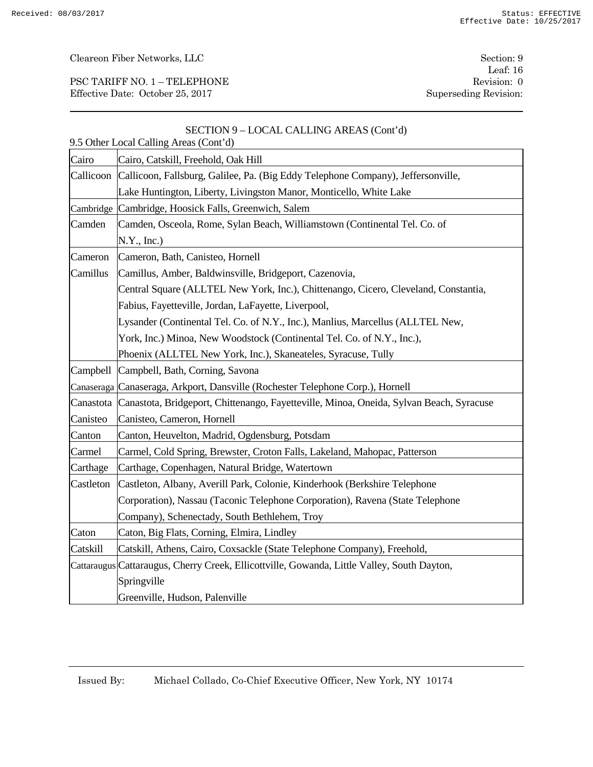PSC TARIFF NO. 1 – TELEPHONE Revision: 0 Effective Date: October 25, 2017 Superseding Revision:

|           | SECTION 9 - LOCAL CALLING AREAS (Cont'd)                                                            |
|-----------|-----------------------------------------------------------------------------------------------------|
|           | 9.5 Other Local Calling Areas (Cont'd)                                                              |
| Cairo     | Cairo, Catskill, Freehold, Oak Hill                                                                 |
| Callicoon | Callicoon, Fallsburg, Galilee, Pa. (Big Eddy Telephone Company), Jeffersonville,                    |
|           | Lake Huntington, Liberty, Livingston Manor, Monticello, White Lake                                  |
|           | Cambridge Cambridge, Hoosick Falls, Greenwich, Salem                                                |
| Camden    | Camden, Osceola, Rome, Sylan Beach, Williamstown (Continental Tel. Co. of                           |
|           | N.Y., Inc.)                                                                                         |
| Cameron   | Cameron, Bath, Canisteo, Hornell                                                                    |
| Camillus  | Camillus, Amber, Baldwinsville, Bridgeport, Cazenovia,                                              |
|           | Central Square (ALLTEL New York, Inc.), Chittenango, Cicero, Cleveland, Constantia,                 |
|           | Fabius, Fayetteville, Jordan, LaFayette, Liverpool,                                                 |
|           | Lysander (Continental Tel. Co. of N.Y., Inc.), Manlius, Marcellus (ALLTEL New,                      |
|           | York, Inc.) Minoa, New Woodstock (Continental Tel. Co. of N.Y., Inc.),                              |
|           | Phoenix (ALLTEL New York, Inc.), Skaneateles, Syracuse, Tully                                       |
| Campbell  | Campbell, Bath, Corning, Savona                                                                     |
|           | Canaseraga Canaseraga, Arkport, Dansville (Rochester Telephone Corp.), Hornell                      |
|           | Canastota   Canastota, Bridgeport, Chittenango, Fayetteville, Minoa, Oneida, Sylvan Beach, Syracuse |
| Canisteo  | Canisteo, Cameron, Hornell                                                                          |
| Canton    | Canton, Heuvelton, Madrid, Ogdensburg, Potsdam                                                      |
| Carmel    | Carmel, Cold Spring, Brewster, Croton Falls, Lakeland, Mahopac, Patterson                           |
| Carthage  | Carthage, Copenhagen, Natural Bridge, Watertown                                                     |
| Castleton | Castleton, Albany, Averill Park, Colonie, Kinderhook (Berkshire Telephone                           |
|           | Corporation), Nassau (Taconic Telephone Corporation), Ravena (State Telephone                       |
|           | Company), Schenectady, South Bethlehem, Troy                                                        |
| Caton     | Caton, Big Flats, Corning, Elmira, Lindley                                                          |
| Catskill  | Catskill, Athens, Cairo, Coxsackle (State Telephone Company), Freehold,                             |
|           | Cattaraugus Cattaraugus, Cherry Creek, Ellicottville, Gowanda, Little Valley, South Dayton,         |
|           | Springville                                                                                         |
|           | Greenville, Hudson, Palenville                                                                      |

Issued By: Michael Collado, Co-Chief Executive Officer, New York, NY 10174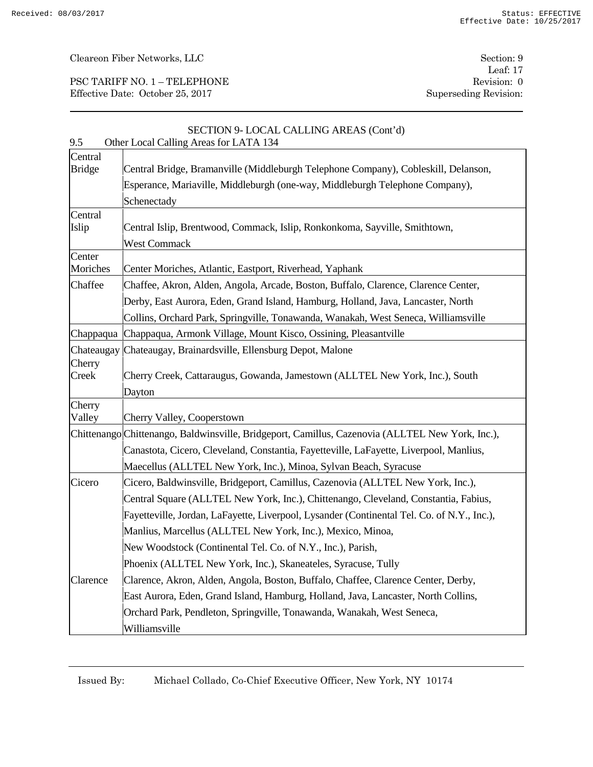PSC TARIFF NO. 1 – TELEPHONE Revision: 0 Effective Date: October 25, 2017 Superseding Revision:

Leaf: 17

|                          | SECTION 9- LOCAL CALLING AREAS (Cont'd)                                                          |
|--------------------------|--------------------------------------------------------------------------------------------------|
| 9.5                      | Other Local Calling Areas for LATA 134                                                           |
| Central<br><b>Bridge</b> | Central Bridge, Bramanville (Middleburgh Telephone Company), Cobleskill, Delanson,               |
|                          | Esperance, Mariaville, Middleburgh (one-way, Middleburgh Telephone Company),                     |
|                          |                                                                                                  |
| Central                  | Schenectady                                                                                      |
| Islip                    | Central Islip, Brentwood, Commack, Islip, Ronkonkoma, Sayville, Smithtown,                       |
|                          | <b>West Commack</b>                                                                              |
| Center                   |                                                                                                  |
| Moriches                 | Center Moriches, Atlantic, Eastport, Riverhead, Yaphank                                          |
| Chaffee                  | Chaffee, Akron, Alden, Angola, Arcade, Boston, Buffalo, Clarence, Clarence Center,               |
|                          | Derby, East Aurora, Eden, Grand Island, Hamburg, Holland, Java, Lancaster, North                 |
|                          | Collins, Orchard Park, Springville, Tonawanda, Wanakah, West Seneca, Williamsville               |
| Chappaqua                | Chappaqua, Armonk Village, Mount Kisco, Ossining, Pleasantville                                  |
| Chateaugay               | Chateaugay, Brainardsville, Ellensburg Depot, Malone                                             |
| Cherry                   |                                                                                                  |
| Creek                    | Cherry Creek, Cattaraugus, Gowanda, Jamestown (ALLTEL New York, Inc.), South                     |
|                          | Dayton                                                                                           |
| Cherry<br>Valley         | Cherry Valley, Cooperstown                                                                       |
|                          | Chittenango Chittenango, Baldwinsville, Bridgeport, Camillus, Cazenovia (ALLTEL New York, Inc.), |
|                          | Canastota, Cicero, Cleveland, Constantia, Fayetteville, LaFayette, Liverpool, Manlius,           |
|                          | Maecellus (ALLTEL New York, Inc.), Minoa, Sylvan Beach, Syracuse                                 |
| Cicero                   | Cicero, Baldwinsville, Bridgeport, Camillus, Cazenovia (ALLTEL New York, Inc.),                  |
|                          | Central Square (ALLTEL New York, Inc.), Chittenango, Cleveland, Constantia, Fabius,              |
|                          | Fayetteville, Jordan, LaFayette, Liverpool, Lysander (Continental Tel. Co. of N.Y., Inc.),       |
|                          |                                                                                                  |
|                          | Manlius, Marcellus (ALLTEL New York, Inc.), Mexico, Minoa,                                       |
|                          | New Woodstock (Continental Tel. Co. of N.Y., Inc.), Parish,                                      |
|                          | Phoenix (ALLTEL New York, Inc.), Skaneateles, Syracuse, Tully                                    |
| Clarence                 | Clarence, Akron, Alden, Angola, Boston, Buffalo, Chaffee, Clarence Center, Derby,                |
|                          | East Aurora, Eden, Grand Island, Hamburg, Holland, Java, Lancaster, North Collins,               |
|                          | Orchard Park, Pendleton, Springville, Tonawanda, Wanakah, West Seneca,                           |
|                          | Williamsville                                                                                    |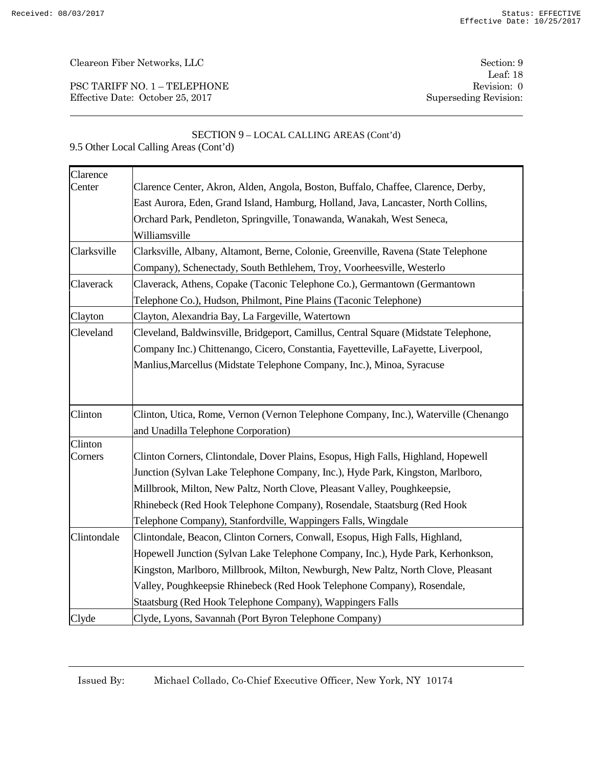PSC TARIFF NO. 1 – TELEPHONE Effective Date: October 25, 2017 Superseding Revision:

Leaf: 18<br>Revision: 0

### SECTION 9 – LOCAL CALLING AREAS (Cont'd)

| Clarence    |                                                                                     |
|-------------|-------------------------------------------------------------------------------------|
| Center      | Clarence Center, Akron, Alden, Angola, Boston, Buffalo, Chaffee, Clarence, Derby,   |
|             | East Aurora, Eden, Grand Island, Hamburg, Holland, Java, Lancaster, North Collins,  |
|             | Orchard Park, Pendleton, Springville, Tonawanda, Wanakah, West Seneca,              |
|             | Williamsville                                                                       |
| Clarksville | Clarksville, Albany, Altamont, Berne, Colonie, Greenville, Ravena (State Telephone  |
|             | Company), Schenectady, South Bethlehem, Troy, Voorheesville, Westerlo               |
| Claverack   | Claverack, Athens, Copake (Taconic Telephone Co.), Germantown (Germantown           |
|             | Telephone Co.), Hudson, Philmont, Pine Plains (Taconic Telephone)                   |
| Clayton     | Clayton, Alexandria Bay, La Fargeville, Watertown                                   |
| Cleveland   | Cleveland, Baldwinsville, Bridgeport, Camillus, Central Square (Midstate Telephone, |
|             | Company Inc.) Chittenango, Cicero, Constantia, Fayetteville, LaFayette, Liverpool,  |
|             | Manlius, Marcellus (Midstate Telephone Company, Inc.), Minoa, Syracuse              |
|             |                                                                                     |
|             |                                                                                     |
| Clinton     | Clinton, Utica, Rome, Vernon (Vernon Telephone Company, Inc.), Waterville (Chenango |
|             | and Unadilla Telephone Corporation)                                                 |
| Clinton     |                                                                                     |
| Corners     | Clinton Corners, Clintondale, Dover Plains, Esopus, High Falls, Highland, Hopewell  |
|             | Junction (Sylvan Lake Telephone Company, Inc.), Hyde Park, Kingston, Marlboro,      |
|             | Millbrook, Milton, New Paltz, North Clove, Pleasant Valley, Poughkeepsie,           |
|             | Rhinebeck (Red Hook Telephone Company), Rosendale, Staatsburg (Red Hook             |
|             | Telephone Company), Stanfordville, Wappingers Falls, Wingdale                       |
| Clintondale | Clintondale, Beacon, Clinton Corners, Conwall, Esopus, High Falls, Highland,        |
|             | Hopewell Junction (Sylvan Lake Telephone Company, Inc.), Hyde Park, Kerhonkson,     |
|             | Kingston, Marlboro, Millbrook, Milton, Newburgh, New Paltz, North Clove, Pleasant   |
|             | Valley, Poughkeepsie Rhinebeck (Red Hook Telephone Company), Rosendale,             |
|             | Staatsburg (Red Hook Telephone Company), Wappingers Falls                           |
| Clyde       | Clyde, Lyons, Savannah (Port Byron Telephone Company)                               |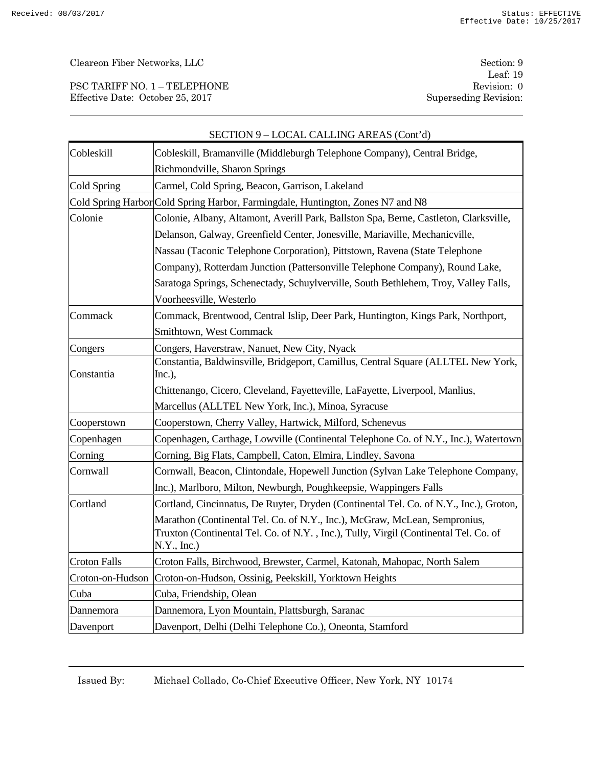PSC TARIFF NO. 1 – TELEPHONE Effective Date: October 25, 2017 Superseding Revision:

|                     | SECTION 9 - LOCAL CALLING AREAS (Cont'd)                                                                                                                                          |
|---------------------|-----------------------------------------------------------------------------------------------------------------------------------------------------------------------------------|
| Cobleskill          | Cobleskill, Bramanville (Middleburgh Telephone Company), Central Bridge,                                                                                                          |
|                     | Richmondville, Sharon Springs                                                                                                                                                     |
| Cold Spring         | Carmel, Cold Spring, Beacon, Garrison, Lakeland                                                                                                                                   |
|                     | Cold Spring Harbor Cold Spring Harbor, Farmingdale, Huntington, Zones N7 and N8                                                                                                   |
| Colonie             | Colonie, Albany, Altamont, Averill Park, Ballston Spa, Berne, Castleton, Clarksville,                                                                                             |
|                     | Delanson, Galway, Greenfield Center, Jonesville, Mariaville, Mechanicville,                                                                                                       |
|                     | Nassau (Taconic Telephone Corporation), Pittstown, Ravena (State Telephone                                                                                                        |
|                     | Company), Rotterdam Junction (Pattersonville Telephone Company), Round Lake,                                                                                                      |
|                     | Saratoga Springs, Schenectady, Schuylverville, South Bethlehem, Troy, Valley Falls,                                                                                               |
|                     | Voorheesville, Westerlo                                                                                                                                                           |
| Commack             | Commack, Brentwood, Central Islip, Deer Park, Huntington, Kings Park, Northport,                                                                                                  |
|                     | Smithtown, West Commack                                                                                                                                                           |
| Congers             | Congers, Haverstraw, Nanuet, New City, Nyack                                                                                                                                      |
| Constantia          | Constantia, Baldwinsville, Bridgeport, Camillus, Central Square (ALLTEL New York,<br>Inc.),                                                                                       |
|                     | Chittenango, Cicero, Cleveland, Fayetteville, LaFayette, Liverpool, Manlius,                                                                                                      |
|                     | Marcellus (ALLTEL New York, Inc.), Minoa, Syracuse                                                                                                                                |
| Cooperstown         | Cooperstown, Cherry Valley, Hartwick, Milford, Schenevus                                                                                                                          |
| Copenhagen          | Copenhagen, Carthage, Lowville (Continental Telephone Co. of N.Y., Inc.), Watertown                                                                                               |
| Corning             | Corning, Big Flats, Campbell, Caton, Elmira, Lindley, Savona                                                                                                                      |
| Cornwall            | Cornwall, Beacon, Clintondale, Hopewell Junction (Sylvan Lake Telephone Company,                                                                                                  |
|                     | Inc.), Marlboro, Milton, Newburgh, Poughkeepsie, Wappingers Falls                                                                                                                 |
| Cortland            | Cortland, Cincinnatus, De Ruyter, Dryden (Continental Tel. Co. of N.Y., Inc.), Groton,                                                                                            |
|                     | Marathon (Continental Tel. Co. of N.Y., Inc.), McGraw, McLean, Sempronius,<br>Truxton (Continental Tel. Co. of N.Y., Inc.), Tully, Virgil (Continental Tel. Co. of<br>N.Y., Inc.) |
| <b>Croton Falls</b> | Croton Falls, Birchwood, Brewster, Carmel, Katonah, Mahopac, North Salem                                                                                                          |
| Croton-on-Hudson    | Croton-on-Hudson, Ossinig, Peekskill, Yorktown Heights                                                                                                                            |
| Cuba                | Cuba, Friendship, Olean                                                                                                                                                           |
| Dannemora           | Dannemora, Lyon Mountain, Plattsburgh, Saranac                                                                                                                                    |
| Davenport           | Davenport, Delhi (Delhi Telephone Co.), Oneonta, Stamford                                                                                                                         |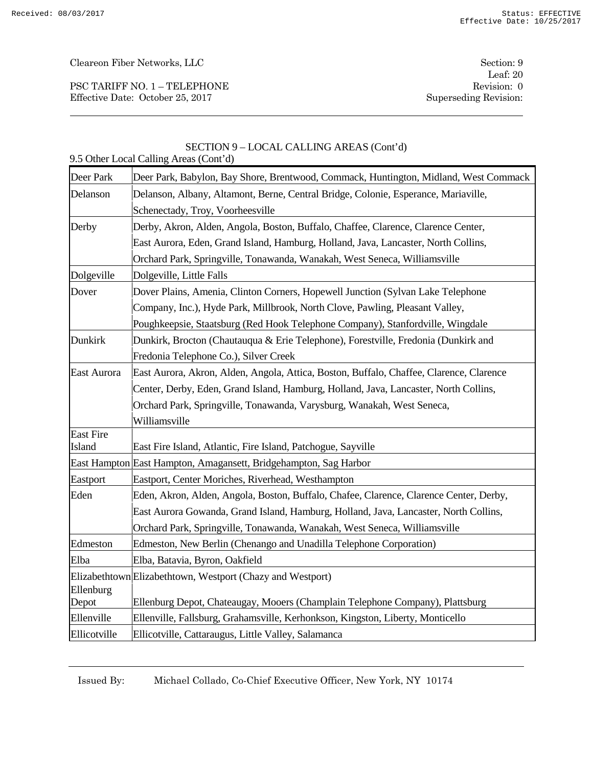PSC TARIFF NO. 1 – TELEPHONE Effective Date: October 25, 2017 Superseding Revision:

### SECTION 9 – LOCAL CALLING AREAS (Cont'd)

| 9.5 Other Local Calling Areas (Cont'd) |                                                                                         |  |
|----------------------------------------|-----------------------------------------------------------------------------------------|--|
| Deer Park                              | Deer Park, Babylon, Bay Shore, Brentwood, Commack, Huntington, Midland, West Commack    |  |
| Delanson                               | Delanson, Albany, Altamont, Berne, Central Bridge, Colonie, Esperance, Mariaville,      |  |
|                                        | Schenectady, Troy, Voorheesville                                                        |  |
| Derby                                  | Derby, Akron, Alden, Angola, Boston, Buffalo, Chaffee, Clarence, Clarence Center,       |  |
|                                        | East Aurora, Eden, Grand Island, Hamburg, Holland, Java, Lancaster, North Collins,      |  |
|                                        | Orchard Park, Springville, Tonawanda, Wanakah, West Seneca, Williamsville               |  |
| Dolgeville                             | Dolgeville, Little Falls                                                                |  |
| Dover                                  | Dover Plains, Amenia, Clinton Corners, Hopewell Junction (Sylvan Lake Telephone         |  |
|                                        | Company, Inc.), Hyde Park, Millbrook, North Clove, Pawling, Pleasant Valley,            |  |
|                                        | Poughkeepsie, Staatsburg (Red Hook Telephone Company), Stanfordville, Wingdale          |  |
| Dunkirk                                | Dunkirk, Brocton (Chautauqua & Erie Telephone), Forestville, Fredonia (Dunkirk and      |  |
|                                        | Fredonia Telephone Co.), Silver Creek                                                   |  |
| East Aurora                            | East Aurora, Akron, Alden, Angola, Attica, Boston, Buffalo, Chaffee, Clarence, Clarence |  |
|                                        | Center, Derby, Eden, Grand Island, Hamburg, Holland, Java, Lancaster, North Collins,    |  |
|                                        | Orchard Park, Springville, Tonawanda, Varysburg, Wanakah, West Seneca,                  |  |
|                                        | Williamsville                                                                           |  |
| <b>East Fire</b><br>Island             | East Fire Island, Atlantic, Fire Island, Patchogue, Sayville                            |  |
|                                        | East Hampton East Hampton, Amagansett, Bridgehampton, Sag Harbor                        |  |
| Eastport                               | Eastport, Center Moriches, Riverhead, Westhampton                                       |  |
| Eden                                   | Eden, Akron, Alden, Angola, Boston, Buffalo, Chafee, Clarence, Clarence Center, Derby,  |  |
|                                        | East Aurora Gowanda, Grand Island, Hamburg, Holland, Java, Lancaster, North Collins,    |  |
|                                        | Orchard Park, Springville, Tonawanda, Wanakah, West Seneca, Williamsville               |  |
| Edmeston                               | Edmeston, New Berlin (Chenango and Unadilla Telephone Corporation)                      |  |
| Elba                                   | Elba, Batavia, Byron, Oakfield                                                          |  |
|                                        | Elizabethtown Elizabethtown, Westport (Chazy and Westport)                              |  |
| Ellenburg<br>Depot                     | Ellenburg Depot, Chateaugay, Mooers (Champlain Telephone Company), Plattsburg           |  |
| Ellenville                             | Ellenville, Fallsburg, Grahamsville, Kerhonkson, Kingston, Liberty, Monticello          |  |
| Ellicotville                           | Ellicotville, Cattaraugus, Little Valley, Salamanca                                     |  |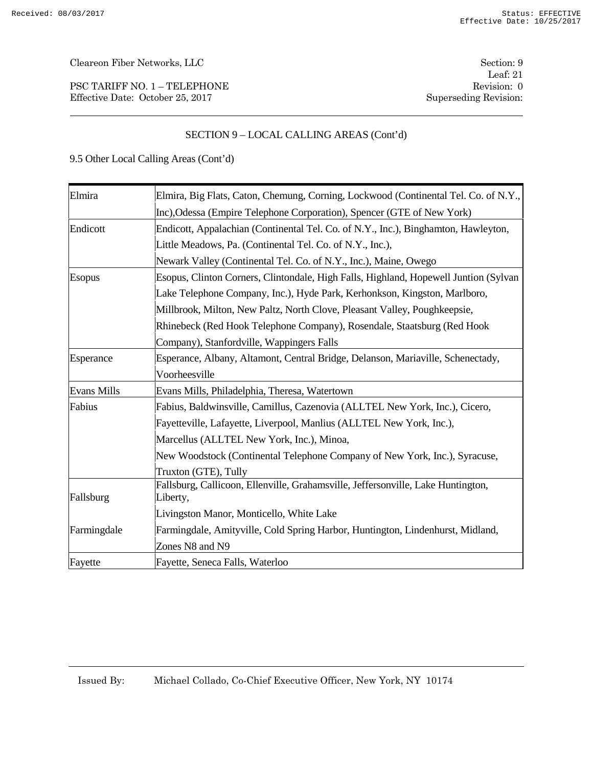PSC TARIFF NO. 1 – TELEPHONE Effective Date: October 25, 2017 Superseding Revision:

# SECTION 9 – LOCAL CALLING AREAS (Cont'd)

| Elmira             | Elmira, Big Flats, Caton, Chemung, Corning, Lockwood (Continental Tel. Co. of N.Y.,          |
|--------------------|----------------------------------------------------------------------------------------------|
|                    | Inc), Odessa (Empire Telephone Corporation), Spencer (GTE of New York)                       |
| Endicott           | Endicott, Appalachian (Continental Tel. Co. of N.Y., Inc.), Binghamton, Hawleyton,           |
|                    | Little Meadows, Pa. (Continental Tel. Co. of N.Y., Inc.),                                    |
|                    | Newark Valley (Continental Tel. Co. of N.Y., Inc.), Maine, Owego                             |
| <b>Esopus</b>      | Esopus, Clinton Corners, Clintondale, High Falls, Highland, Hopewell Juntion (Sylvan         |
|                    | Lake Telephone Company, Inc.), Hyde Park, Kerhonkson, Kingston, Marlboro,                    |
|                    | Millbrook, Milton, New Paltz, North Clove, Pleasant Valley, Poughkeepsie,                    |
|                    | Rhinebeck (Red Hook Telephone Company), Rosendale, Staatsburg (Red Hook                      |
|                    | Company), Stanfordville, Wappingers Falls                                                    |
| Esperance          | Esperance, Albany, Altamont, Central Bridge, Delanson, Mariaville, Schenectady,              |
|                    | Voorheesville                                                                                |
| <b>Evans Mills</b> | Evans Mills, Philadelphia, Theresa, Watertown                                                |
| Fabius             | Fabius, Baldwinsville, Camillus, Cazenovia (ALLTEL New York, Inc.), Cicero,                  |
|                    | Fayetteville, Lafayette, Liverpool, Manlius (ALLTEL New York, Inc.),                         |
|                    | Marcellus (ALLTEL New York, Inc.), Minoa,                                                    |
|                    | New Woodstock (Continental Telephone Company of New York, Inc.), Syracuse,                   |
|                    | Truxton (GTE), Tully                                                                         |
| Fallsburg          | Fallsburg, Callicoon, Ellenville, Grahamsville, Jeffersonville, Lake Huntington,<br>Liberty, |
|                    | Livingston Manor, Monticello, White Lake                                                     |
| Farmingdale        | Farmingdale, Amityville, Cold Spring Harbor, Huntington, Lindenhurst, Midland,               |
|                    | Zones N8 and N9                                                                              |
| Fayette            | Fayette, Seneca Falls, Waterloo                                                              |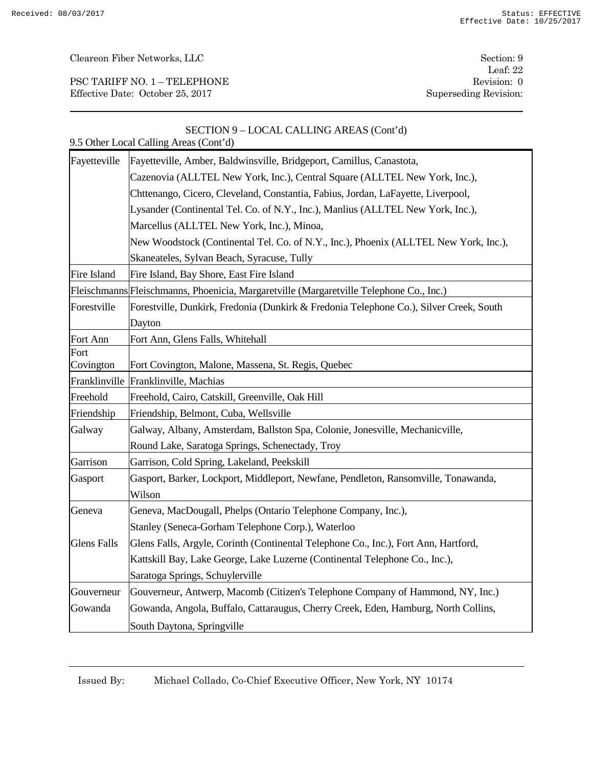PSC TARIFF NO. 1 – TELEPHONE Revision: 0 Effective Date: October 25, 2017 Superseding Revision:

|                    | SECTION 9 - LOCAL CALLING AREAS (Cont'd)<br>9.5 Other Local Calling Areas (Cont'd)      |
|--------------------|-----------------------------------------------------------------------------------------|
| Fayetteville       | Fayetteville, Amber, Baldwinsville, Bridgeport, Camillus, Canastota,                    |
|                    | Cazenovia (ALLTEL New York, Inc.), Central Square (ALLTEL New York, Inc.),              |
|                    | Chttenango, Cicero, Cleveland, Constantia, Fabius, Jordan, LaFayette, Liverpool,        |
|                    | Lysander (Continental Tel. Co. of N.Y., Inc.), Manlius (ALLTEL New York, Inc.),         |
|                    | Marcellus (ALLTEL New York, Inc.), Minoa,                                               |
|                    | New Woodstock (Continental Tel. Co. of N.Y., Inc.), Phoenix (ALLTEL New York, Inc.),    |
|                    | Skaneateles, Sylvan Beach, Syracuse, Tully                                              |
| Fire Island        | Fire Island, Bay Shore, East Fire Island                                                |
|                    | Fleischmanns Fleischmanns, Phoenicia, Margaretville (Margaretville Telephone Co., Inc.) |
| Forestville        | Forestville, Dunkirk, Fredonia (Dunkirk & Fredonia Telephone Co.), Silver Creek, South  |
|                    | Dayton                                                                                  |
| Fort Ann           | Fort Ann, Glens Falls, Whitehall                                                        |
| Fort               |                                                                                         |
| Covington          | Fort Covington, Malone, Massena, St. Regis, Quebec                                      |
| Franklinville      | Franklinville, Machias                                                                  |
| Freehold           | Freehold, Cairo, Catskill, Greenville, Oak Hill                                         |
| Friendship         | Friendship, Belmont, Cuba, Wellsville                                                   |
| Galway             | Galway, Albany, Amsterdam, Ballston Spa, Colonie, Jonesville, Mechanicville,            |
|                    | Round Lake, Saratoga Springs, Schenectady, Troy                                         |
| Garrison           | Garrison, Cold Spring, Lakeland, Peekskill                                              |
| Gasport            | Gasport, Barker, Lockport, Middleport, Newfane, Pendleton, Ransomville, Tonawanda,      |
|                    | Wilson                                                                                  |
| Geneva             | Geneva, MacDougall, Phelps (Ontario Telephone Company, Inc.),                           |
|                    | Stanley (Seneca-Gorham Telephone Corp.), Waterloo                                       |
| <b>Glens Falls</b> | Glens Falls, Argyle, Corinth (Continental Telephone Co., Inc.), Fort Ann, Hartford,     |
|                    | Kattskill Bay, Lake George, Lake Luzerne (Continental Telephone Co., Inc.),             |
|                    | Saratoga Springs, Schuylerville                                                         |
| Gouverneur         | Gouverneur, Antwerp, Macomb (Citizen's Telephone Company of Hammond, NY, Inc.)          |
| Gowanda            | Gowanda, Angola, Buffalo, Cattaraugus, Cherry Creek, Eden, Hamburg, North Collins,      |
|                    | South Daytona, Springville                                                              |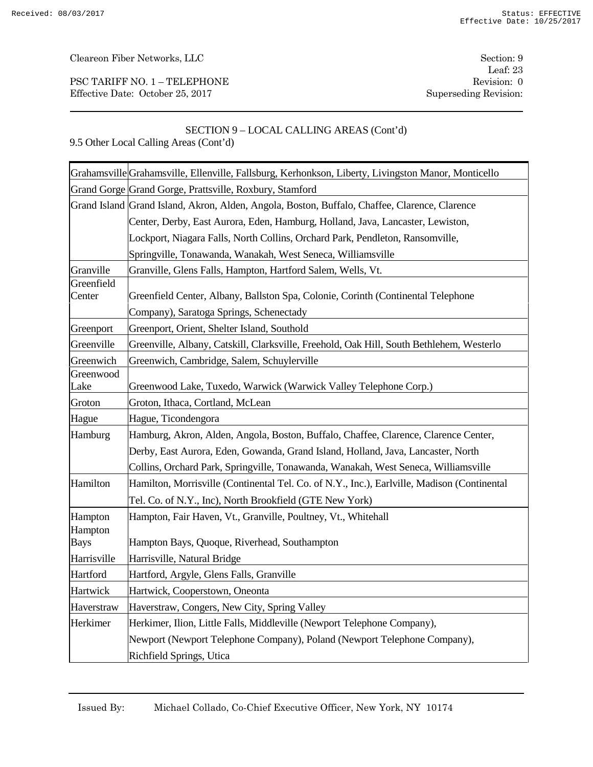PSC TARIFF NO. 1 – TELEPHONE Revision: 0 Effective Date: October 25, 2017 Superseding Revision:

# SECTION 9 – LOCAL CALLING AREAS (Cont'd)

|             | Grahamsville Grahamsville, Ellenville, Fallsburg, Kerhonkson, Liberty, Livingston Manor, Monticello |
|-------------|-----------------------------------------------------------------------------------------------------|
|             | Grand Gorge Grand Gorge, Prattsville, Roxbury, Stamford                                             |
|             | Grand Island Grand Island, Akron, Alden, Angola, Boston, Buffalo, Chaffee, Clarence, Clarence       |
|             | Center, Derby, East Aurora, Eden, Hamburg, Holland, Java, Lancaster, Lewiston,                      |
|             | Lockport, Niagara Falls, North Collins, Orchard Park, Pendleton, Ransomville,                       |
|             | Springville, Tonawanda, Wanakah, West Seneca, Williamsville                                         |
| Granville   | Granville, Glens Falls, Hampton, Hartford Salem, Wells, Vt.                                         |
| Greenfield  |                                                                                                     |
| Center      | Greenfield Center, Albany, Ballston Spa, Colonie, Corinth (Continental Telephone                    |
|             | Company), Saratoga Springs, Schenectady                                                             |
| Greenport   | Greenport, Orient, Shelter Island, Southold                                                         |
| Greenville  | Greenville, Albany, Catskill, Clarksville, Freehold, Oak Hill, South Bethlehem, Westerlo            |
| Greenwich   | Greenwich, Cambridge, Salem, Schuylerville                                                          |
| Greenwood   |                                                                                                     |
| Lake        | Greenwood Lake, Tuxedo, Warwick (Warwick Valley Telephone Corp.)                                    |
| Groton      | Groton, Ithaca, Cortland, McLean                                                                    |
| Hague       | Hague, Ticondengora                                                                                 |
| Hamburg     | Hamburg, Akron, Alden, Angola, Boston, Buffalo, Chaffee, Clarence, Clarence Center,                 |
|             | Derby, East Aurora, Eden, Gowanda, Grand Island, Holland, Java, Lancaster, North                    |
|             | Collins, Orchard Park, Springville, Tonawanda, Wanakah, West Seneca, Williamsville                  |
| Hamilton    | Hamilton, Morrisville (Continental Tel. Co. of N.Y., Inc.), Earlyille, Madison (Continental         |
|             | Tel. Co. of N.Y., Inc), North Brookfield (GTE New York)                                             |
| Hampton     | Hampton, Fair Haven, Vt., Granville, Poultney, Vt., Whitehall                                       |
| Hampton     |                                                                                                     |
| <b>Bays</b> | Hampton Bays, Quoque, Riverhead, Southampton                                                        |
| Harrisville | Harrisville, Natural Bridge                                                                         |
| Hartford    | Hartford, Argyle, Glens Falls, Granville                                                            |
| Hartwick    | Hartwick, Cooperstown, Oneonta                                                                      |
| Haverstraw  | Haverstraw, Congers, New City, Spring Valley                                                        |
| Herkimer    | Herkimer, Ilion, Little Falls, Middleville (Newport Telephone Company),                             |
|             | Newport (Newport Telephone Company), Poland (Newport Telephone Company),                            |
|             | Richfield Springs, Utica                                                                            |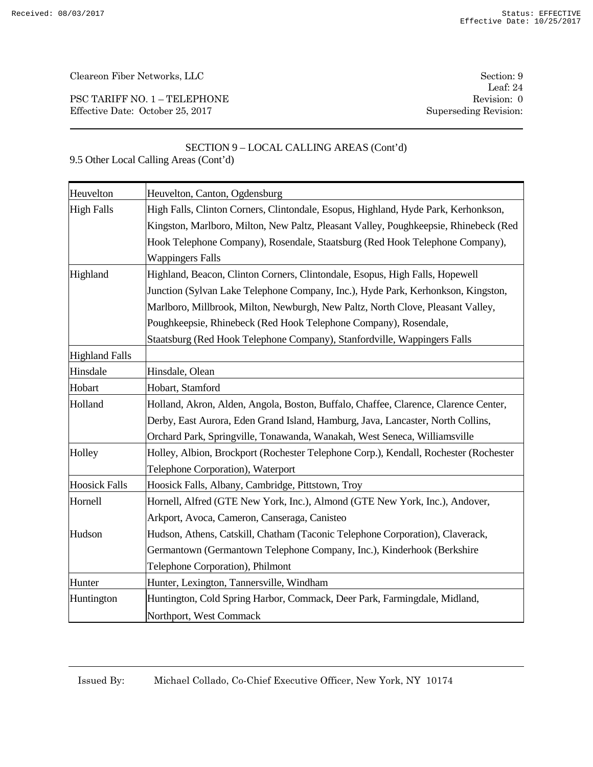PSC TARIFF NO. 1 – TELEPHONE Revision: 0 Effective Date: October 25, 2017 Superseding Revision:

Leaf: 24

### SECTION 9 – LOCAL CALLING AREAS (Cont'd) 9.5 Other Local Calling Areas (Cont'd)

| Heuvelton             | Heuvelton, Canton, Ogdensburg                                                        |
|-----------------------|--------------------------------------------------------------------------------------|
| <b>High Falls</b>     | High Falls, Clinton Corners, Clintondale, Esopus, Highland, Hyde Park, Kerhonkson,   |
|                       | Kingston, Marlboro, Milton, New Paltz, Pleasant Valley, Poughkeepsie, Rhinebeck (Red |
|                       | Hook Telephone Company), Rosendale, Staatsburg (Red Hook Telephone Company),         |
|                       | <b>Wappingers Falls</b>                                                              |
| Highland              | Highland, Beacon, Clinton Corners, Clintondale, Esopus, High Falls, Hopewell         |
|                       | Junction (Sylvan Lake Telephone Company, Inc.), Hyde Park, Kerhonkson, Kingston,     |
|                       | Marlboro, Millbrook, Milton, Newburgh, New Paltz, North Clove, Pleasant Valley,      |
|                       | Poughkeepsie, Rhinebeck (Red Hook Telephone Company), Rosendale,                     |
|                       | Staatsburg (Red Hook Telephone Company), Stanfordville, Wappingers Falls             |
| <b>Highland Falls</b> |                                                                                      |
| Hinsdale              | Hinsdale, Olean                                                                      |
| Hobart                | Hobart, Stamford                                                                     |
| Holland               | Holland, Akron, Alden, Angola, Boston, Buffalo, Chaffee, Clarence, Clarence Center,  |
|                       | Derby, East Aurora, Eden Grand Island, Hamburg, Java, Lancaster, North Collins,      |
|                       | Orchard Park, Springville, Tonawanda, Wanakah, West Seneca, Williamsville            |
| Holley                | Holley, Albion, Brockport (Rochester Telephone Corp.), Kendall, Rochester (Rochester |
|                       | Telephone Corporation), Waterport                                                    |
| <b>Hoosick Falls</b>  | Hoosick Falls, Albany, Cambridge, Pittstown, Troy                                    |
| Hornell               | Hornell, Alfred (GTE New York, Inc.), Almond (GTE New York, Inc.), Andover,          |
|                       | Arkport, Avoca, Cameron, Canseraga, Canisteo                                         |
| Hudson                | Hudson, Athens, Catskill, Chatham (Taconic Telephone Corporation), Claverack,        |
|                       | Germantown (Germantown Telephone Company, Inc.), Kinderhook (Berkshire               |
|                       | Telephone Corporation), Philmont                                                     |
| Hunter                | Hunter, Lexington, Tannersville, Windham                                             |
| Huntington            | Huntington, Cold Spring Harbor, Commack, Deer Park, Farmingdale, Midland,            |
|                       | Northport, West Commack                                                              |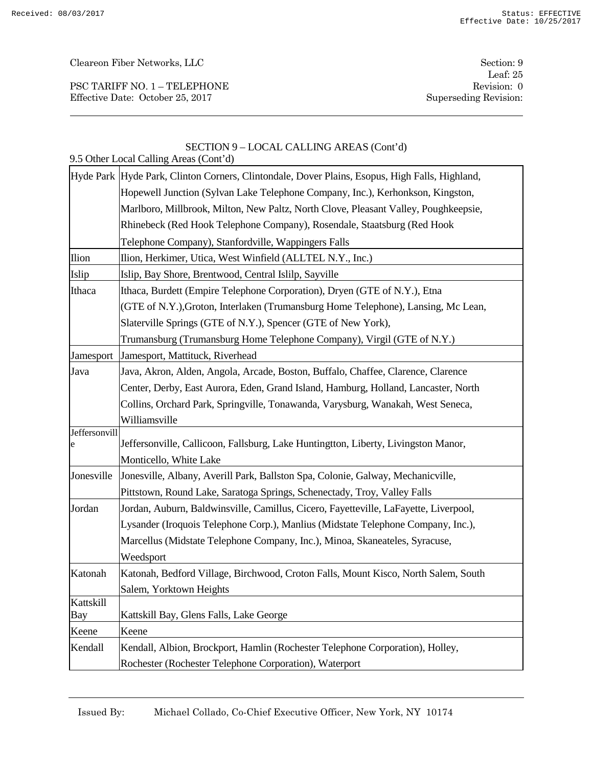PSC TARIFF NO. 1 – TELEPHONE Effective Date: October 25, 2017 Superseding Revision:

### SECTION 9 – LOCAL CALLING AREAS (Cont'd)

|                    | 9.5 Other Local Calling Areas (Cont'd)                                                         |  |
|--------------------|------------------------------------------------------------------------------------------------|--|
|                    | Hyde Park Hyde Park, Clinton Corners, Clintondale, Dover Plains, Esopus, High Falls, Highland, |  |
|                    | Hopewell Junction (Sylvan Lake Telephone Company, Inc.), Kerhonkson, Kingston,                 |  |
|                    | Marlboro, Millbrook, Milton, New Paltz, North Clove, Pleasant Valley, Poughkeepsie,            |  |
|                    | Rhinebeck (Red Hook Telephone Company), Rosendale, Staatsburg (Red Hook                        |  |
|                    | Telephone Company), Stanfordville, Wappingers Falls                                            |  |
| Ilion              | Ilion, Herkimer, Utica, West Winfield (ALLTEL N.Y., Inc.)                                      |  |
| Islip              | Islip, Bay Shore, Brentwood, Central Islilp, Sayville                                          |  |
| Ithaca             | Ithaca, Burdett (Empire Telephone Corporation), Dryen (GTE of N.Y.), Etna                      |  |
|                    | (GTE of N.Y.), Groton, Interlaken (Trumansburg Home Telephone), Lansing, Mc Lean,              |  |
|                    | Slaterville Springs (GTE of N.Y.), Spencer (GTE of New York),                                  |  |
|                    | Trumansburg (Trumansburg Home Telephone Company), Virgil (GTE of N.Y.)                         |  |
| Jamesport          | Jamesport, Mattituck, Riverhead                                                                |  |
| Java               | Java, Akron, Alden, Angola, Arcade, Boston, Buffalo, Chaffee, Clarence, Clarence               |  |
|                    | Center, Derby, East Aurora, Eden, Grand Island, Hamburg, Holland, Lancaster, North             |  |
|                    | Collins, Orchard Park, Springville, Tonawanda, Varysburg, Wanakah, West Seneca,                |  |
|                    | Williamsville                                                                                  |  |
| Jeffersonvill<br>e | Jeffersonville, Callicoon, Fallsburg, Lake Huntingtton, Liberty, Livingston Manor,             |  |
|                    | Monticello, White Lake                                                                         |  |
| Jonesville         | Jonesville, Albany, Averill Park, Ballston Spa, Colonie, Galway, Mechanicville,                |  |
|                    | Pittstown, Round Lake, Saratoga Springs, Schenectady, Troy, Valley Falls                       |  |
| Jordan             | Jordan, Auburn, Baldwinsville, Camillus, Cicero, Fayetteville, LaFayette, Liverpool,           |  |
|                    | Lysander (Iroquois Telephone Corp.), Manlius (Midstate Telephone Company, Inc.),               |  |
|                    | Marcellus (Midstate Telephone Company, Inc.), Minoa, Skaneateles, Syracuse,                    |  |
|                    | Weedsport                                                                                      |  |
| Katonah            | Katonah, Bedford Village, Birchwood, Croton Falls, Mount Kisco, North Salem, South             |  |
|                    | Salem, Yorktown Heights                                                                        |  |
| Kattskill          |                                                                                                |  |
| <b>Bay</b>         | Kattskill Bay, Glens Falls, Lake George                                                        |  |
| Keene              | Keene                                                                                          |  |
| Kendall            | Kendall, Albion, Brockport, Hamlin (Rochester Telephone Corporation), Holley,                  |  |
|                    | Rochester (Rochester Telephone Corporation), Waterport                                         |  |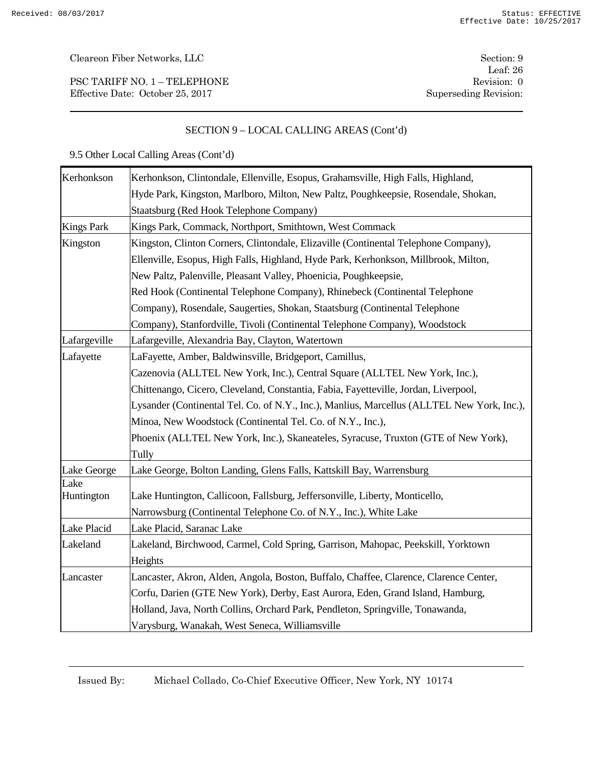PSC TARIFF NO. 1 – TELEPHONE Revision: 0 Effective Date: October 25, 2017 Superseding Revision:

### SECTION 9 – LOCAL CALLING AREAS (Cont'd)

| Kerhonkson        | Kerhonkson, Clintondale, Ellenville, Esopus, Grahamsville, High Falls, Highland,           |
|-------------------|--------------------------------------------------------------------------------------------|
|                   | Hyde Park, Kingston, Marlboro, Milton, New Paltz, Poughkeepsie, Rosendale, Shokan,         |
|                   | Staatsburg (Red Hook Telephone Company)                                                    |
| <b>Kings Park</b> | Kings Park, Commack, Northport, Smithtown, West Commack                                    |
| Kingston          | Kingston, Clinton Corners, Clintondale, Elizaville (Continental Telephone Company),        |
|                   | Ellenville, Esopus, High Falls, Highland, Hyde Park, Kerhonkson, Millbrook, Milton,        |
|                   | New Paltz, Palenville, Pleasant Valley, Phoenicia, Poughkeepsie,                           |
|                   | Red Hook (Continental Telephone Company), Rhinebeck (Continental Telephone                 |
|                   | Company), Rosendale, Saugerties, Shokan, Staatsburg (Continental Telephone                 |
|                   | Company), Stanfordville, Tivoli (Continental Telephone Company), Woodstock                 |
| Lafargeville      | Lafargeville, Alexandria Bay, Clayton, Watertown                                           |
| Lafayette         | LaFayette, Amber, Baldwinsville, Bridgeport, Camillus,                                     |
|                   | Cazenovia (ALLTEL New York, Inc.), Central Square (ALLTEL New York, Inc.),                 |
|                   | Chittenango, Cicero, Cleveland, Constantia, Fabia, Fayetteville, Jordan, Liverpool,        |
|                   | Lysander (Continental Tel. Co. of N.Y., Inc.), Manlius, Marcellus (ALLTEL New York, Inc.), |
|                   | Minoa, New Woodstock (Continental Tel. Co. of N.Y., Inc.),                                 |
|                   | Phoenix (ALLTEL New York, Inc.), Skaneateles, Syracuse, Truxton (GTE of New York),         |
|                   | Tully                                                                                      |
| Lake George       | Lake George, Bolton Landing, Glens Falls, Kattskill Bay, Warrensburg                       |
| Lake              |                                                                                            |
| Huntington        | Lake Huntington, Callicoon, Fallsburg, Jeffersonville, Liberty, Monticello,                |
| Lake Placid       | Narrowsburg (Continental Telephone Co. of N.Y., Inc.), White Lake                          |
|                   | Lake Placid, Saranac Lake                                                                  |
| Lakeland          | Lakeland, Birchwood, Carmel, Cold Spring, Garrison, Mahopac, Peekskill, Yorktown           |
|                   | Heights                                                                                    |
| Lancaster         | Lancaster, Akron, Alden, Angola, Boston, Buffalo, Chaffee, Clarence, Clarence Center,      |
|                   | Corfu, Darien (GTE New York), Derby, East Aurora, Eden, Grand Island, Hamburg,             |
|                   | Holland, Java, North Collins, Orchard Park, Pendleton, Springville, Tonawanda,             |
|                   | Varysburg, Wanakah, West Seneca, Williamsville                                             |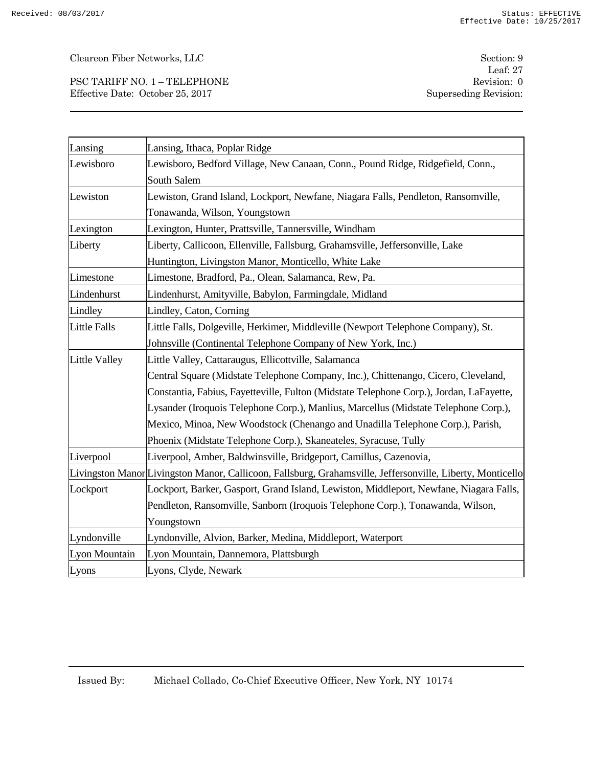PSC TARIFF NO. 1 – TELEPHONE Revision: 0 Effective Date: October 25, 2017 Superseding Revision:

| Lansing              | Lansing, Ithaca, Poplar Ridge                                                                              |
|----------------------|------------------------------------------------------------------------------------------------------------|
| Lewisboro            | Lewisboro, Bedford Village, New Canaan, Conn., Pound Ridge, Ridgefield, Conn.,                             |
|                      | South Salem                                                                                                |
| Lewiston             | Lewiston, Grand Island, Lockport, Newfane, Niagara Falls, Pendleton, Ransomville,                          |
|                      | Tonawanda, Wilson, Youngstown                                                                              |
| Lexington            | Lexington, Hunter, Prattsville, Tannersville, Windham                                                      |
| Liberty              | Liberty, Callicoon, Ellenville, Fallsburg, Grahamsville, Jeffersonville, Lake                              |
|                      | Huntington, Livingston Manor, Monticello, White Lake                                                       |
| Limestone            | Limestone, Bradford, Pa., Olean, Salamanca, Rew, Pa.                                                       |
| Lindenhurst          | Lindenhurst, Amityville, Babylon, Farmingdale, Midland                                                     |
| Lindley              | Lindley, Caton, Corning                                                                                    |
| <b>Little Falls</b>  | Little Falls, Dolgeville, Herkimer, Middleville (Newport Telephone Company), St.                           |
|                      | Johnsville (Continental Telephone Company of New York, Inc.)                                               |
| <b>Little Valley</b> | Little Valley, Cattaraugus, Ellicottville, Salamanca                                                       |
|                      | Central Square (Midstate Telephone Company, Inc.), Chittenango, Cicero, Cleveland,                         |
|                      | Constantia, Fabius, Fayetteville, Fulton (Midstate Telephone Corp.), Jordan, LaFayette,                    |
|                      | Lysander (Iroquois Telephone Corp.), Manlius, Marcellus (Midstate Telephone Corp.),                        |
|                      | Mexico, Minoa, New Woodstock (Chenango and Unadilla Telephone Corp.), Parish,                              |
|                      | Phoenix (Midstate Telephone Corp.), Skaneateles, Syracuse, Tully                                           |
| Liverpool            | Liverpool, Amber, Baldwinsville, Bridgeport, Camillus, Cazenovia,                                          |
|                      | Livingston Manor Livingston Manor, Callicoon, Fallsburg, Grahamsville, Jeffersonville, Liberty, Monticello |
| Lockport             | Lockport, Barker, Gasport, Grand Island, Lewiston, Middleport, Newfane, Niagara Falls,                     |
|                      | Pendleton, Ransomville, Sanborn (Iroquois Telephone Corp.), Tonawanda, Wilson,                             |
|                      | Youngstown                                                                                                 |
| Lyndonville          | Lyndonville, Alvion, Barker, Medina, Middleport, Waterport                                                 |
| Lyon Mountain        | Lyon Mountain, Dannemora, Plattsburgh                                                                      |
| Lyons                | Lyons, Clyde, Newark                                                                                       |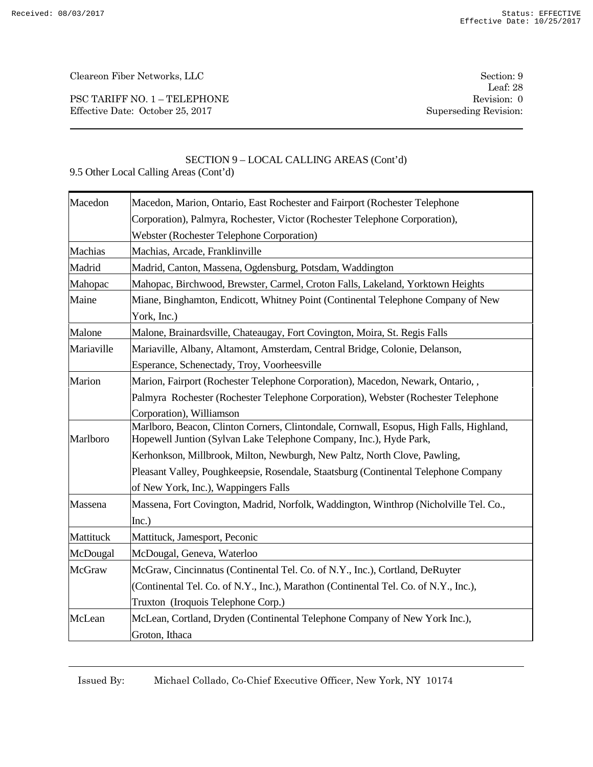PSC TARIFF NO. 1 – TELEPHONE Revision: 0 Effective Date: October 25, 2017 Superseding Revision:

Leaf: 28

# SECTION 9 – LOCAL CALLING AREAS (Cont'd)

9.5 Other Local Calling Areas (Cont'd)

| Macedon       | Macedon, Marion, Ontario, East Rochester and Fairport (Rochester Telephone                                                                                    |
|---------------|---------------------------------------------------------------------------------------------------------------------------------------------------------------|
|               | Corporation), Palmyra, Rochester, Victor (Rochester Telephone Corporation),                                                                                   |
|               | <b>Webster (Rochester Telephone Corporation)</b>                                                                                                              |
| Machias       | Machias, Arcade, Franklinville                                                                                                                                |
| Madrid        | Madrid, Canton, Massena, Ogdensburg, Potsdam, Waddington                                                                                                      |
| Mahopac       | Mahopac, Birchwood, Brewster, Carmel, Croton Falls, Lakeland, Yorktown Heights                                                                                |
| Maine         | Miane, Binghamton, Endicott, Whitney Point (Continental Telephone Company of New                                                                              |
|               | York, Inc.)                                                                                                                                                   |
| Malone        | Malone, Brainardsville, Chateaugay, Fort Covington, Moira, St. Regis Falls                                                                                    |
| Mariaville    | Mariaville, Albany, Altamont, Amsterdam, Central Bridge, Colonie, Delanson,                                                                                   |
|               | Esperance, Schenectady, Troy, Voorheesville                                                                                                                   |
| Marion        | Marion, Fairport (Rochester Telephone Corporation), Macedon, Newark, Ontario,,                                                                                |
|               | Palmyra Rochester (Rochester Telephone Corporation), Webster (Rochester Telephone                                                                             |
|               | Corporation), Williamson                                                                                                                                      |
| Marlboro      | Marlboro, Beacon, Clinton Corners, Clintondale, Cornwall, Esopus, High Falls, Highland,<br>Hopewell Juntion (Sylvan Lake Telephone Company, Inc.), Hyde Park, |
|               | Kerhonkson, Millbrook, Milton, Newburgh, New Paltz, North Clove, Pawling,                                                                                     |
|               | Pleasant Valley, Poughkeepsie, Rosendale, Staatsburg (Continental Telephone Company                                                                           |
|               | of New York, Inc.), Wappingers Falls                                                                                                                          |
| Massena       | Massena, Fort Covington, Madrid, Norfolk, Waddington, Winthrop (Nicholville Tel. Co.,                                                                         |
|               | Inc.)                                                                                                                                                         |
| Mattituck     | Mattituck, Jamesport, Peconic                                                                                                                                 |
| McDougal      | McDougal, Geneva, Waterloo                                                                                                                                    |
| <b>McGraw</b> | McGraw, Cincinnatus (Continental Tel. Co. of N.Y., Inc.), Cortland, DeRuyter                                                                                  |
|               | (Continental Tel. Co. of N.Y., Inc.), Marathon (Continental Tel. Co. of N.Y., Inc.),                                                                          |
|               | Truxton (Iroquois Telephone Corp.)                                                                                                                            |
| McLean        | McLean, Cortland, Dryden (Continental Telephone Company of New York Inc.),                                                                                    |
|               | Groton, Ithaca                                                                                                                                                |

Issued By: Michael Collado, Co-Chief Executive Officer, New York, NY 10174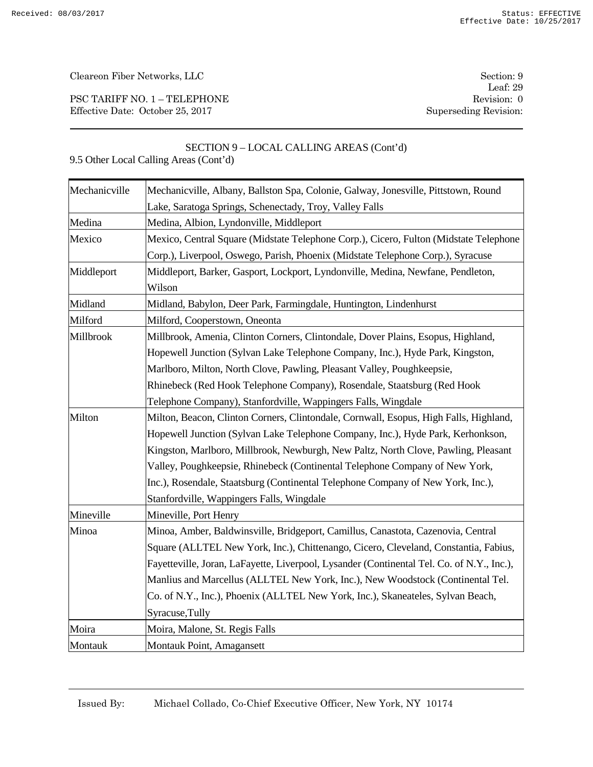PSC TARIFF NO. 1 – TELEPHONE Revision: 0 Effective Date: October 25, 2017 Superseding Revision:

Leaf: 29

# SECTION 9 – LOCAL CALLING AREAS (Cont'd)

| Mechanicville | Mechanicville, Albany, Ballston Spa, Colonie, Galway, Jonesville, Pittstown, Round        |
|---------------|-------------------------------------------------------------------------------------------|
|               | Lake, Saratoga Springs, Schenectady, Troy, Valley Falls                                   |
| Medina        | Medina, Albion, Lyndonville, Middleport                                                   |
| Mexico        | Mexico, Central Square (Midstate Telephone Corp.), Cicero, Fulton (Midstate Telephone     |
|               | Corp.), Liverpool, Oswego, Parish, Phoenix (Midstate Telephone Corp.), Syracuse           |
| Middleport    | Middleport, Barker, Gasport, Lockport, Lyndonville, Medina, Newfane, Pendleton,           |
|               | Wilson                                                                                    |
| Midland       | Midland, Babylon, Deer Park, Farmingdale, Huntington, Lindenhurst                         |
| Milford       | Milford, Cooperstown, Oneonta                                                             |
| Millbrook     | Millbrook, Amenia, Clinton Corners, Clintondale, Dover Plains, Esopus, Highland,          |
|               | Hopewell Junction (Sylvan Lake Telephone Company, Inc.), Hyde Park, Kingston,             |
|               | Marlboro, Milton, North Clove, Pawling, Pleasant Valley, Poughkeepsie,                    |
|               | Rhinebeck (Red Hook Telephone Company), Rosendale, Staatsburg (Red Hook                   |
|               | Telephone Company), Stanfordville, Wappingers Falls, Wingdale                             |
| Milton        | Milton, Beacon, Clinton Corners, Clintondale, Cornwall, Esopus, High Falls, Highland,     |
|               | Hopewell Junction (Sylvan Lake Telephone Company, Inc.), Hyde Park, Kerhonkson,           |
|               | Kingston, Marlboro, Millbrook, Newburgh, New Paltz, North Clove, Pawling, Pleasant        |
|               | Valley, Poughkeepsie, Rhinebeck (Continental Telephone Company of New York,               |
|               | Inc.), Rosendale, Staatsburg (Continental Telephone Company of New York, Inc.),           |
|               | Stanfordville, Wappingers Falls, Wingdale                                                 |
| Mineville     | Mineville, Port Henry                                                                     |
| Minoa         | Minoa, Amber, Baldwinsville, Bridgeport, Camillus, Canastota, Cazenovia, Central          |
|               | Square (ALLTEL New York, Inc.), Chittenango, Cicero, Cleveland, Constantia, Fabius,       |
|               | Fayetteville, Joran, LaFayette, Liverpool, Lysander (Continental Tel. Co. of N.Y., Inc.), |
|               | Manlius and Marcellus (ALLTEL New York, Inc.), New Woodstock (Continental Tel.            |
|               | Co. of N.Y., Inc.), Phoenix (ALLTEL New York, Inc.), Skaneateles, Sylvan Beach,           |
|               | Syracuse, Tully                                                                           |
| Moira         | Moira, Malone, St. Regis Falls                                                            |
| Montauk       | Montauk Point, Amagansett                                                                 |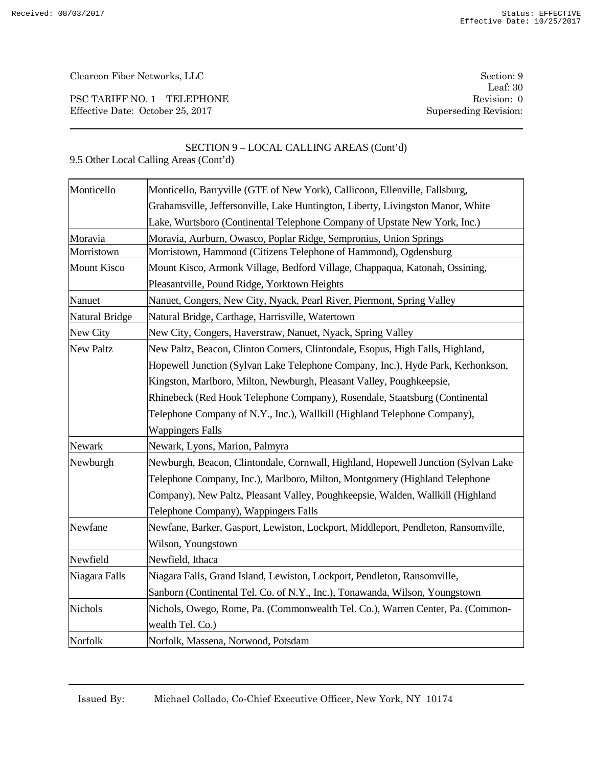PSC TARIFF NO. 1 – TELEPHONE Revision: 0 Effective Date: October 25, 2017 Superseding Revision:

Leaf: 30

# SECTION 9 – LOCAL CALLING AREAS (Cont'd)

| Monticello         | Monticello, Barryville (GTE of New York), Callicoon, Ellenville, Fallsburg,       |
|--------------------|-----------------------------------------------------------------------------------|
|                    | Grahamsville, Jeffersonville, Lake Huntington, Liberty, Livingston Manor, White   |
|                    | Lake, Wurtsboro (Continental Telephone Company of Upstate New York, Inc.)         |
| Moravia            | Moravia, Aurburn, Owasco, Poplar Ridge, Sempronius, Union Springs                 |
| Morristown         | Morristown, Hammond (Citizens Telephone of Hammond), Ogdensburg                   |
| <b>Mount Kisco</b> | Mount Kisco, Armonk Village, Bedford Village, Chappaqua, Katonah, Ossining,       |
|                    | Pleasantville, Pound Ridge, Yorktown Heights                                      |
| Nanuet             | Nanuet, Congers, New City, Nyack, Pearl River, Piermont, Spring Valley            |
| Natural Bridge     | Natural Bridge, Carthage, Harrisville, Watertown                                  |
| New City           | New City, Congers, Haverstraw, Nanuet, Nyack, Spring Valley                       |
| <b>New Paltz</b>   | New Paltz, Beacon, Clinton Corners, Clintondale, Esopus, High Falls, Highland,    |
|                    | Hopewell Junction (Sylvan Lake Telephone Company, Inc.), Hyde Park, Kerhonkson,   |
|                    | Kingston, Marlboro, Milton, Newburgh, Pleasant Valley, Poughkeepsie,              |
|                    | Rhinebeck (Red Hook Telephone Company), Rosendale, Staatsburg (Continental        |
|                    | Telephone Company of N.Y., Inc.), Wallkill (Highland Telephone Company),          |
|                    | <b>Wappingers Falls</b>                                                           |
| Newark             | Newark, Lyons, Marion, Palmyra                                                    |
| Newburgh           | Newburgh, Beacon, Clintondale, Cornwall, Highland, Hopewell Junction (Sylvan Lake |
|                    | Telephone Company, Inc.), Marlboro, Milton, Montgomery (Highland Telephone        |
|                    | Company), New Paltz, Pleasant Valley, Poughkeepsie, Walden, Wallkill (Highland    |
|                    | Telephone Company), Wappingers Falls                                              |
| Newfane            | Newfane, Barker, Gasport, Lewiston, Lockport, Middleport, Pendleton, Ransomville, |
|                    | Wilson, Youngstown                                                                |
| Newfield           | Newfield, Ithaca                                                                  |
| Niagara Falls      | Niagara Falls, Grand Island, Lewiston, Lockport, Pendleton, Ransomville,          |
|                    | Sanborn (Continental Tel. Co. of N.Y., Inc.), Tonawanda, Wilson, Youngstown       |
| <b>Nichols</b>     | Nichols, Owego, Rome, Pa. (Commonwealth Tel. Co.), Warren Center, Pa. (Common-    |
|                    | wealth Tel. Co.)                                                                  |
| Norfolk            | Norfolk, Massena, Norwood, Potsdam                                                |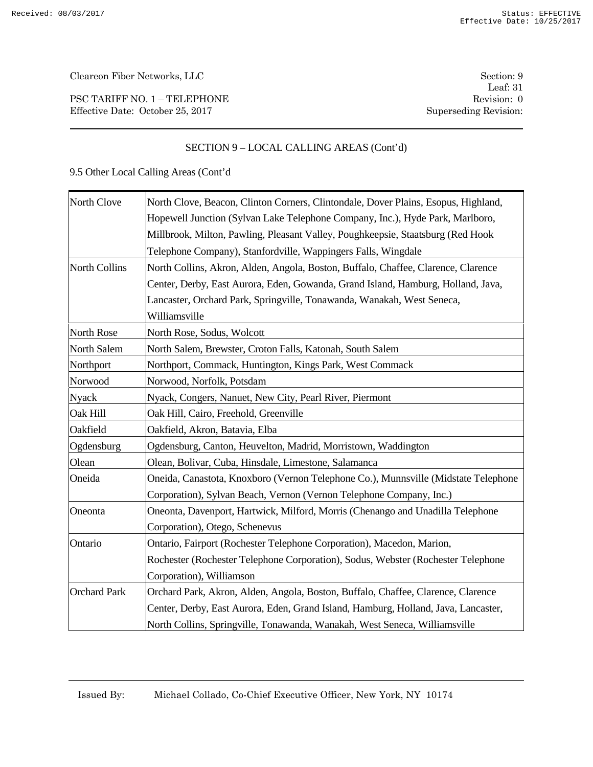PSC TARIFF NO. 1 – TELEPHONE Revision: 0 Effective Date: October 25, 2017 Superseding Revision:

### SECTION 9 – LOCAL CALLING AREAS (Cont'd)

| North Clove          | North Clove, Beacon, Clinton Corners, Clintondale, Dover Plains, Esopus, Highland, |
|----------------------|------------------------------------------------------------------------------------|
|                      | Hopewell Junction (Sylvan Lake Telephone Company, Inc.), Hyde Park, Marlboro,      |
|                      | Millbrook, Milton, Pawling, Pleasant Valley, Poughkeepsie, Staatsburg (Red Hook    |
|                      | Telephone Company), Stanfordville, Wappingers Falls, Wingdale                      |
| <b>North Collins</b> | North Collins, Akron, Alden, Angola, Boston, Buffalo, Chaffee, Clarence, Clarence  |
|                      | Center, Derby, East Aurora, Eden, Gowanda, Grand Island, Hamburg, Holland, Java,   |
|                      | Lancaster, Orchard Park, Springville, Tonawanda, Wanakah, West Seneca,             |
|                      | Williamsville                                                                      |
| North Rose           | North Rose, Sodus, Wolcott                                                         |
| North Salem          | North Salem, Brewster, Croton Falls, Katonah, South Salem                          |
| Northport            | Northport, Commack, Huntington, Kings Park, West Commack                           |
| Norwood              | Norwood, Norfolk, Potsdam                                                          |
| <b>Nyack</b>         | Nyack, Congers, Nanuet, New City, Pearl River, Piermont                            |
| Oak Hill             | Oak Hill, Cairo, Freehold, Greenville                                              |
| Oakfield             | Oakfield, Akron, Batavia, Elba                                                     |
| Ogdensburg           | Ogdensburg, Canton, Heuvelton, Madrid, Morristown, Waddington                      |
| Olean                | Olean, Bolivar, Cuba, Hinsdale, Limestone, Salamanca                               |
| Oneida               | Oneida, Canastota, Knoxboro (Vernon Telephone Co.), Munnsville (Midstate Telephone |
|                      | Corporation), Sylvan Beach, Vernon (Vernon Telephone Company, Inc.)                |
| Oneonta              | Oneonta, Davenport, Hartwick, Milford, Morris (Chenango and Unadilla Telephone     |
|                      | Corporation), Otego, Schenevus                                                     |
| Ontario              | Ontario, Fairport (Rochester Telephone Corporation), Macedon, Marion,              |
|                      | Rochester (Rochester Telephone Corporation), Sodus, Webster (Rochester Telephone   |
|                      | Corporation), Williamson                                                           |
| <b>Orchard Park</b>  | Orchard Park, Akron, Alden, Angola, Boston, Buffalo, Chaffee, Clarence, Clarence   |
|                      | Center, Derby, East Aurora, Eden, Grand Island, Hamburg, Holland, Java, Lancaster, |
|                      | North Collins, Springville, Tonawanda, Wanakah, West Seneca, Williamsville         |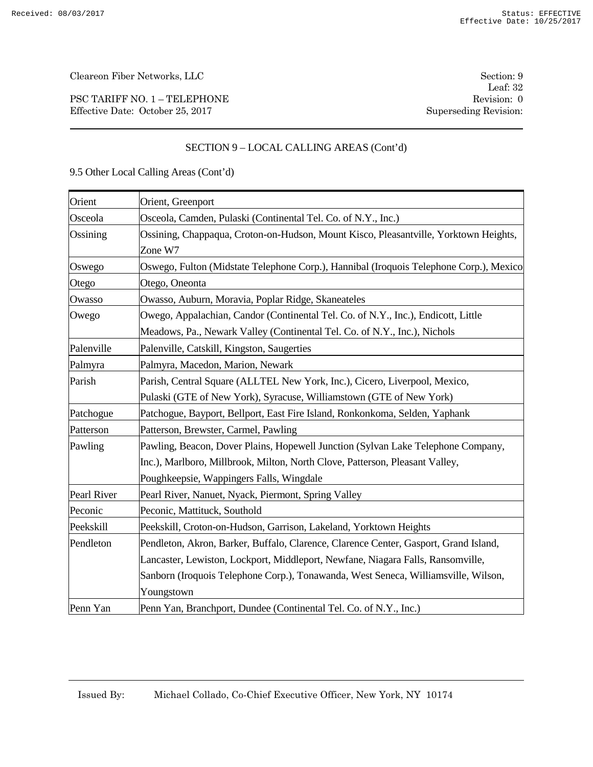PSC TARIFF NO. 1 – TELEPHONE Revision: 0 Effective Date: October 25, 2017 Superseding Revision:

Leaf: 32

### SECTION 9 – LOCAL CALLING AREAS (Cont'd)

| Orient      | Orient, Greenport                                                                                                                                              |
|-------------|----------------------------------------------------------------------------------------------------------------------------------------------------------------|
| Osceola     | Osceola, Camden, Pulaski (Continental Tel. Co. of N.Y., Inc.)                                                                                                  |
| Ossining    | Ossining, Chappaqua, Croton-on-Hudson, Mount Kisco, Pleasantville, Yorktown Heights,<br>Zone W7                                                                |
| Oswego      | Oswego, Fulton (Midstate Telephone Corp.), Hannibal (Iroquois Telephone Corp.), Mexico                                                                         |
| Otego       | Otego, Oneonta                                                                                                                                                 |
| Owasso      | Owasso, Auburn, Moravia, Poplar Ridge, Skaneateles                                                                                                             |
| Owego       | Owego, Appalachian, Candor (Continental Tel. Co. of N.Y., Inc.), Endicott, Little<br>Meadows, Pa., Newark Valley (Continental Tel. Co. of N.Y., Inc.), Nichols |
|             |                                                                                                                                                                |
| Palenville  | Palenville, Catskill, Kingston, Saugerties                                                                                                                     |
| Palmyra     | Palmyra, Macedon, Marion, Newark                                                                                                                               |
| Parish      | Parish, Central Square (ALLTEL New York, Inc.), Cicero, Liverpool, Mexico,                                                                                     |
|             | Pulaski (GTE of New York), Syracuse, Williamstown (GTE of New York)                                                                                            |
| Patchogue   | Patchogue, Bayport, Bellport, East Fire Island, Ronkonkoma, Selden, Yaphank                                                                                    |
| Patterson   | Patterson, Brewster, Carmel, Pawling                                                                                                                           |
| Pawling     | Pawling, Beacon, Dover Plains, Hopewell Junction (Sylvan Lake Telephone Company,                                                                               |
|             | Inc.), Marlboro, Millbrook, Milton, North Clove, Patterson, Pleasant Valley,                                                                                   |
|             | Poughkeepsie, Wappingers Falls, Wingdale                                                                                                                       |
| Pearl River | Pearl River, Nanuet, Nyack, Piermont, Spring Valley                                                                                                            |
| Peconic     | Peconic, Mattituck, Southold                                                                                                                                   |
| Peekskill   | Peekskill, Croton-on-Hudson, Garrison, Lakeland, Yorktown Heights                                                                                              |
| Pendleton   | Pendleton, Akron, Barker, Buffalo, Clarence, Clarence Center, Gasport, Grand Island,                                                                           |
|             | Lancaster, Lewiston, Lockport, Middleport, Newfane, Niagara Falls, Ransomville,                                                                                |
|             | Sanborn (Iroquois Telephone Corp.), Tonawanda, West Seneca, Williamsville, Wilson,                                                                             |
|             | Youngstown                                                                                                                                                     |
| Penn Yan    | Penn Yan, Branchport, Dundee (Continental Tel. Co. of N.Y., Inc.)                                                                                              |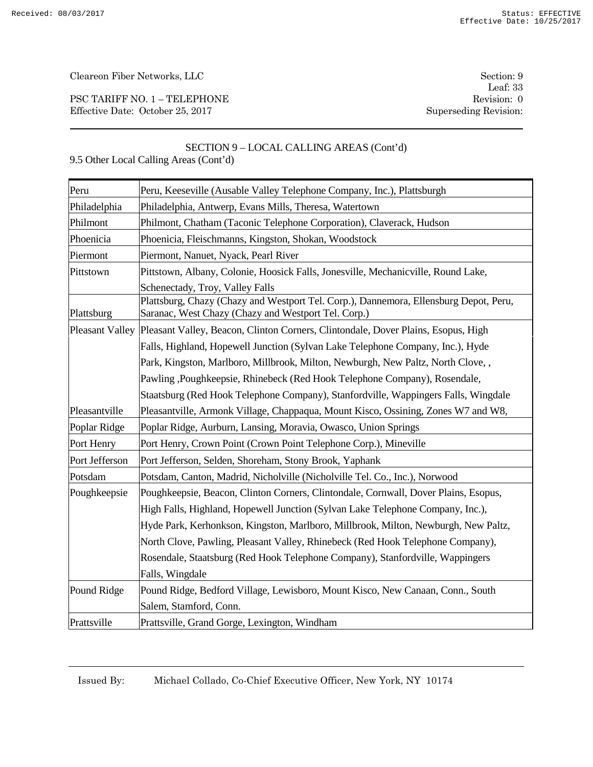PSC TARIFF NO. 1 – TELEPHONE Revision: 0 Effective Date: October 25, 2017 Superseding Revision:

Leaf: 33

### SECTION 9 – LOCAL CALLING AREAS (Cont'd)

### 9.5 Other Local Calling Areas (Cont'd)

| Peru           | Peru, Keeseville (Ausable Valley Telephone Company, Inc.), Plattsburgh                                                                       |
|----------------|----------------------------------------------------------------------------------------------------------------------------------------------|
| Philadelphia   | Philadelphia, Antwerp, Evans Mills, Theresa, Watertown                                                                                       |
| Philmont       | Philmont, Chatham (Taconic Telephone Corporation), Claverack, Hudson                                                                         |
| Phoenicia      | Phoenicia, Fleischmanns, Kingston, Shokan, Woodstock                                                                                         |
| Piermont       | Piermont, Nanuet, Nyack, Pearl River                                                                                                         |
| Pittstown      | Pittstown, Albany, Colonie, Hoosick Falls, Jonesville, Mechanicville, Round Lake,                                                            |
|                | Schenectady, Troy, Valley Falls                                                                                                              |
| Plattsburg     | Plattsburg, Chazy (Chazy and Westport Tel. Corp.), Dannemora, Ellensburg Depot, Peru,<br>Saranac, West Chazy (Chazy and Westport Tel. Corp.) |
|                | Pleasant Valley Pleasant Valley, Beacon, Clinton Corners, Clintondale, Dover Plains, Esopus, High                                            |
|                | Falls, Highland, Hopewell Junction (Sylvan Lake Telephone Company, Inc.), Hyde                                                               |
|                | Park, Kingston, Marlboro, Millbrook, Milton, Newburgh, New Paltz, North Clove,,                                                              |
|                | Pawling , Poughkeepsie, Rhinebeck (Red Hook Telephone Company), Rosendale,                                                                   |
|                | Staatsburg (Red Hook Telephone Company), Stanfordville, Wappingers Falls, Wingdale                                                           |
| Pleasantville  | Pleasantville, Armonk Village, Chappaqua, Mount Kisco, Ossining, Zones W7 and W8,                                                            |
| Poplar Ridge   | Poplar Ridge, Aurburn, Lansing, Moravia, Owasco, Union Springs                                                                               |
| Port Henry     | Port Henry, Crown Point (Crown Point Telephone Corp.), Mineville                                                                             |
| Port Jefferson | Port Jefferson, Selden, Shoreham, Stony Brook, Yaphank                                                                                       |
| Potsdam        | Potsdam, Canton, Madrid, Nicholville (Nicholville Tel. Co., Inc.), Norwood                                                                   |
| Poughkeepsie   | Poughkeepsie, Beacon, Clinton Corners, Clintondale, Cornwall, Dover Plains, Esopus,                                                          |
|                | High Falls, Highland, Hopewell Junction (Sylvan Lake Telephone Company, Inc.),                                                               |
|                | Hyde Park, Kerhonkson, Kingston, Marlboro, Millbrook, Milton, Newburgh, New Paltz,                                                           |
|                | North Clove, Pawling, Pleasant Valley, Rhinebeck (Red Hook Telephone Company),                                                               |
|                | Rosendale, Staatsburg (Red Hook Telephone Company), Stanfordville, Wappingers                                                                |
|                | Falls, Wingdale                                                                                                                              |
| Pound Ridge    | Pound Ridge, Bedford Village, Lewisboro, Mount Kisco, New Canaan, Conn., South                                                               |
|                | Salem, Stamford, Conn.                                                                                                                       |
| Prattsville    | Prattsville, Grand Gorge, Lexington, Windham                                                                                                 |

Issued By: Michael Collado, Co-Chief Executive Officer, New York, NY 10174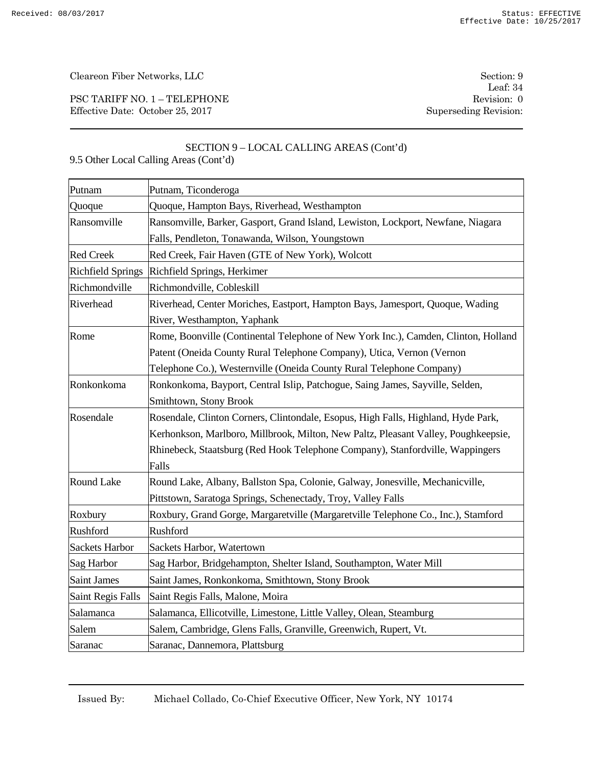PSC TARIFF NO. 1 – TELEPHONE Revision: 0 Effective Date: October 25, 2017 Superseding Revision:

Leaf: 34

# SECTION 9 – LOCAL CALLING AREAS (Cont'd)

| Putnam                   | Putnam, Ticonderoga                                                                |
|--------------------------|------------------------------------------------------------------------------------|
| Quoque                   | Quoque, Hampton Bays, Riverhead, Westhampton                                       |
| Ransomville              | Ransomville, Barker, Gasport, Grand Island, Lewiston, Lockport, Newfane, Niagara   |
|                          | Falls, Pendleton, Tonawanda, Wilson, Youngstown                                    |
| <b>Red Creek</b>         | Red Creek, Fair Haven (GTE of New York), Wolcott                                   |
| <b>Richfield Springs</b> | Richfield Springs, Herkimer                                                        |
| Richmondville            | Richmondville, Cobleskill                                                          |
| Riverhead                | Riverhead, Center Moriches, Eastport, Hampton Bays, Jamesport, Quoque, Wading      |
|                          | River, Westhampton, Yaphank                                                        |
| Rome                     | Rome, Boonville (Continental Telephone of New York Inc.), Camden, Clinton, Holland |
|                          | Patent (Oneida County Rural Telephone Company), Utica, Vernon (Vernon              |
|                          | Telephone Co.), Westernville (Oneida County Rural Telephone Company)               |
| Ronkonkoma               | Ronkonkoma, Bayport, Central Islip, Patchogue, Saing James, Sayville, Selden,      |
|                          | Smithtown, Stony Brook                                                             |
| Rosendale                | Rosendale, Clinton Corners, Clintondale, Esopus, High Falls, Highland, Hyde Park,  |
|                          | Kerhonkson, Marlboro, Millbrook, Milton, New Paltz, Pleasant Valley, Poughkeepsie, |
|                          | Rhinebeck, Staatsburg (Red Hook Telephone Company), Stanfordville, Wappingers      |
|                          | Falls                                                                              |
| <b>Round Lake</b>        | Round Lake, Albany, Ballston Spa, Colonie, Galway, Jonesville, Mechanicville,      |
|                          | Pittstown, Saratoga Springs, Schenectady, Troy, Valley Falls                       |
| Roxbury                  | Roxbury, Grand Gorge, Margaretville (Margaretville Telephone Co., Inc.), Stamford  |
| Rushford                 | Rushford                                                                           |
| <b>Sackets Harbor</b>    | Sackets Harbor, Watertown                                                          |
| Sag Harbor               | Sag Harbor, Bridgehampton, Shelter Island, Southampton, Water Mill                 |
| <b>Saint James</b>       | Saint James, Ronkonkoma, Smithtown, Stony Brook                                    |
| Saint Regis Falls        | Saint Regis Falls, Malone, Moira                                                   |
| Salamanca                | Salamanca, Ellicotville, Limestone, Little Valley, Olean, Steamburg                |
| Salem                    | Salem, Cambridge, Glens Falls, Granville, Greenwich, Rupert, Vt.                   |
| Saranac                  | Saranac, Dannemora, Plattsburg                                                     |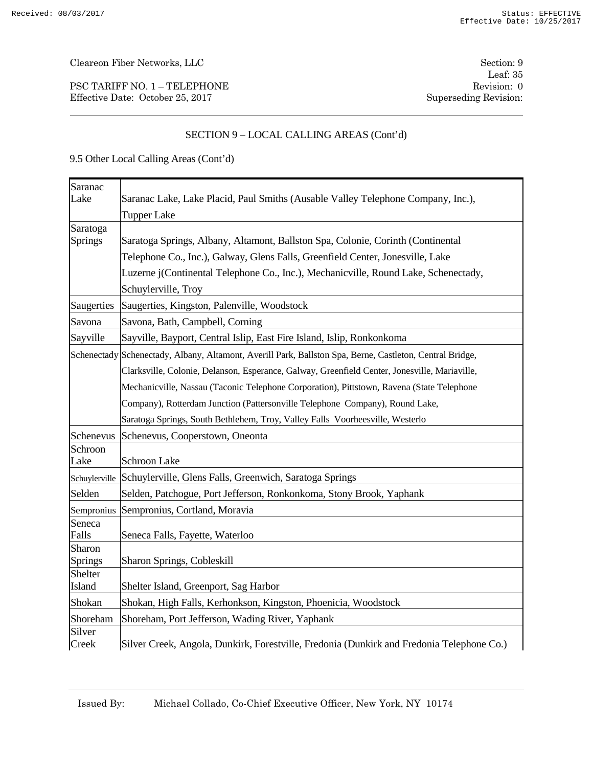PSC TARIFF NO. 1 – TELEPHONE Revision: 0 Effective Date: October 25, 2017 Superseding Revision:

# SECTION 9 – LOCAL CALLING AREAS (Cont'd)

| Saranac                  |                                                                                                          |
|--------------------------|----------------------------------------------------------------------------------------------------------|
| Lake                     | Saranac Lake, Lake Placid, Paul Smiths (Ausable Valley Telephone Company, Inc.),                         |
|                          | <b>Tupper Lake</b>                                                                                       |
| Saratoga                 |                                                                                                          |
| <b>Springs</b>           | Saratoga Springs, Albany, Altamont, Ballston Spa, Colonie, Corinth (Continental                          |
|                          | Telephone Co., Inc.), Galway, Glens Falls, Greenfield Center, Jonesville, Lake                           |
|                          | Luzerne j(Continental Telephone Co., Inc.), Mechanicville, Round Lake, Schenectady,                      |
|                          | Schuylerville, Troy                                                                                      |
| Saugerties               | Saugerties, Kingston, Palenville, Woodstock                                                              |
| Savona                   | Savona, Bath, Campbell, Corning                                                                          |
| Sayville                 | Sayville, Bayport, Central Islip, East Fire Island, Islip, Ronkonkoma                                    |
|                          | Schenectady Schenectady, Albany, Altamont, Averill Park, Ballston Spa, Berne, Castleton, Central Bridge, |
|                          | Clarksville, Colonie, Delanson, Esperance, Galway, Greenfield Center, Jonesville, Mariaville,            |
|                          | Mechanicville, Nassau (Taconic Telephone Corporation), Pittstown, Ravena (State Telephone                |
|                          | Company), Rotterdam Junction (Pattersonville Telephone Company), Round Lake,                             |
|                          | Saratoga Springs, South Bethlehem, Troy, Valley Falls Voorheesville, Westerlo                            |
| Schenevus                | Schenevus, Cooperstown, Oneonta                                                                          |
| Schroon                  |                                                                                                          |
| Lake                     | <b>Schroon Lake</b>                                                                                      |
| Schuylerville            | Schuylerville, Glens Falls, Greenwich, Saratoga Springs                                                  |
| Selden                   | Selden, Patchogue, Port Jefferson, Ronkonkoma, Stony Brook, Yaphank                                      |
| Sempronius               | Sempronius, Cortland, Moravia                                                                            |
| Seneca                   |                                                                                                          |
| Falls                    | Seneca Falls, Fayette, Waterloo                                                                          |
| Sharon<br><b>Springs</b> | Sharon Springs, Cobleskill                                                                               |
| Shelter                  |                                                                                                          |
| Island                   | Shelter Island, Greenport, Sag Harbor                                                                    |
| Shokan                   | Shokan, High Falls, Kerhonkson, Kingston, Phoenicia, Woodstock                                           |
| Shoreham                 | Shoreham, Port Jefferson, Wading River, Yaphank                                                          |
| Silver<br>Creek          | Silver Creek, Angola, Dunkirk, Forestville, Fredonia (Dunkirk and Fredonia Telephone Co.)                |
|                          |                                                                                                          |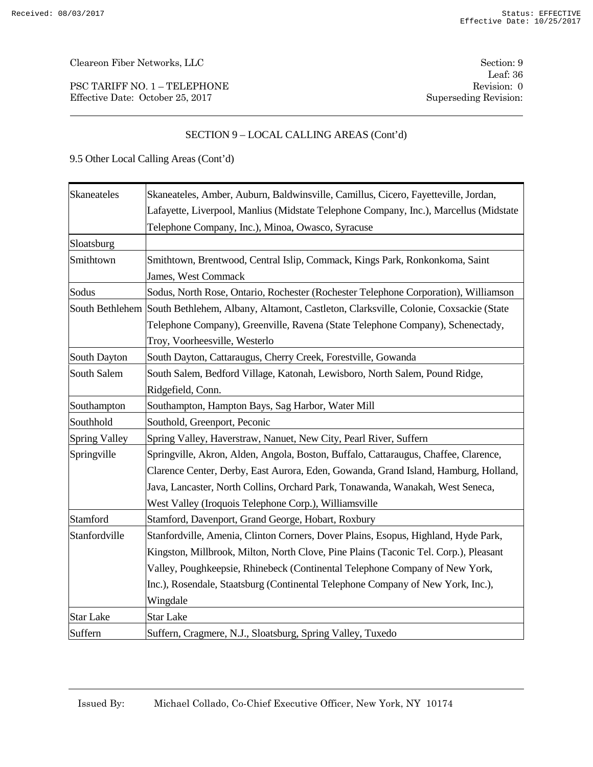PSC TARIFF NO. 1 – TELEPHONE Revision: 0 Effective Date: October 25, 2017 Superseding Revision:

# SECTION 9 – LOCAL CALLING AREAS (Cont'd)

| Skaneateles          | Skaneateles, Amber, Auburn, Baldwinsville, Camillus, Cicero, Fayetteville, Jordan,                   |  |
|----------------------|------------------------------------------------------------------------------------------------------|--|
|                      | Lafayette, Liverpool, Manlius (Midstate Telephone Company, Inc.), Marcellus (Midstate                |  |
|                      | Telephone Company, Inc.), Minoa, Owasco, Syracuse                                                    |  |
| Sloatsburg           |                                                                                                      |  |
| Smithtown            | Smithtown, Brentwood, Central Islip, Commack, Kings Park, Ronkonkoma, Saint                          |  |
|                      | James, West Commack                                                                                  |  |
| Sodus                | Sodus, North Rose, Ontario, Rochester (Rochester Telephone Corporation), Williamson                  |  |
|                      | South Bethlehem South Bethlehem, Albany, Altamont, Castleton, Clarksville, Colonie, Coxsackie (State |  |
|                      | Telephone Company), Greenville, Ravena (State Telephone Company), Schenectady,                       |  |
|                      | Troy, Voorheesville, Westerlo                                                                        |  |
| South Dayton         | South Dayton, Cattaraugus, Cherry Creek, Forestville, Gowanda                                        |  |
| South Salem          | South Salem, Bedford Village, Katonah, Lewisboro, North Salem, Pound Ridge,                          |  |
|                      | Ridgefield, Conn.                                                                                    |  |
| Southampton          | Southampton, Hampton Bays, Sag Harbor, Water Mill                                                    |  |
| Southhold            | Southold, Greenport, Peconic                                                                         |  |
| <b>Spring Valley</b> | Spring Valley, Haverstraw, Nanuet, New City, Pearl River, Suffern                                    |  |
| Springville          | Springville, Akron, Alden, Angola, Boston, Buffalo, Cattaraugus, Chaffee, Clarence,                  |  |
|                      | Clarence Center, Derby, East Aurora, Eden, Gowanda, Grand Island, Hamburg, Holland,                  |  |
|                      | Java, Lancaster, North Collins, Orchard Park, Tonawanda, Wanakah, West Seneca,                       |  |
|                      | West Valley (Iroquois Telephone Corp.), Williamsville                                                |  |
| Stamford             | Stamford, Davenport, Grand George, Hobart, Roxbury                                                   |  |
| Stanfordville        | Stanfordville, Amenia, Clinton Corners, Dover Plains, Esopus, Highland, Hyde Park,                   |  |
|                      | Kingston, Millbrook, Milton, North Clove, Pine Plains (Taconic Tel. Corp.), Pleasant                 |  |
|                      | Valley, Poughkeepsie, Rhinebeck (Continental Telephone Company of New York,                          |  |
|                      | Inc.), Rosendale, Staatsburg (Continental Telephone Company of New York, Inc.),                      |  |
|                      | Wingdale                                                                                             |  |
| <b>Star Lake</b>     | <b>Star Lake</b>                                                                                     |  |
| Suffern              | Suffern, Cragmere, N.J., Sloatsburg, Spring Valley, Tuxedo                                           |  |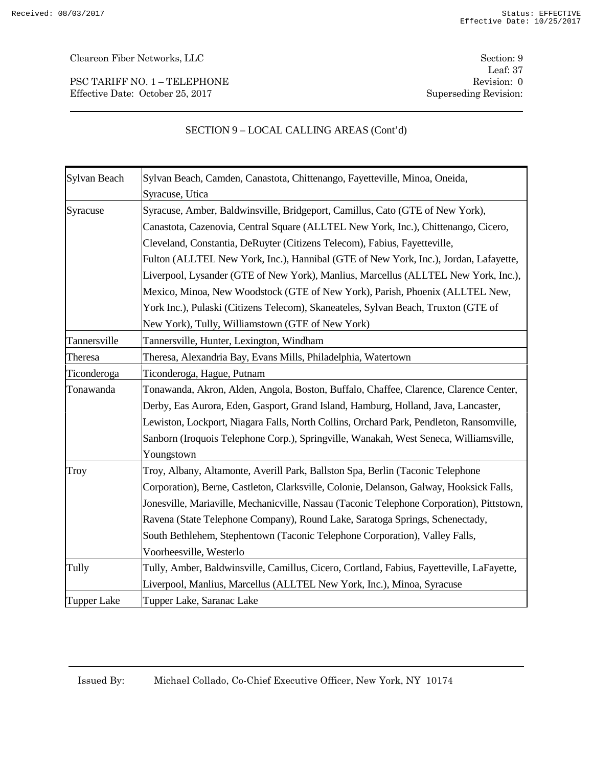PSC TARIFF NO. 1 – TELEPHONE Revision: 0 Effective Date: October 25, 2017 Superseding Revision:

SECTION 9 – LOCAL CALLING AREAS (Cont'd)

| Sylvan Beach       | Sylvan Beach, Camden, Canastota, Chittenango, Fayetteville, Minoa, Oneida,                |  |
|--------------------|-------------------------------------------------------------------------------------------|--|
|                    | Syracuse, Utica                                                                           |  |
| Syracuse           | Syracuse, Amber, Baldwinsville, Bridgeport, Camillus, Cato (GTE of New York),             |  |
|                    | Canastota, Cazenovia, Central Square (ALLTEL New York, Inc.), Chittenango, Cicero,        |  |
|                    | Cleveland, Constantia, DeRuyter (Citizens Telecom), Fabius, Fayetteville,                 |  |
|                    | Fulton (ALLTEL New York, Inc.), Hannibal (GTE of New York, Inc.), Jordan, Lafayette,      |  |
|                    | Liverpool, Lysander (GTE of New York), Manlius, Marcellus (ALLTEL New York, Inc.),        |  |
|                    | Mexico, Minoa, New Woodstock (GTE of New York), Parish, Phoenix (ALLTEL New,              |  |
|                    | York Inc.), Pulaski (Citizens Telecom), Skaneateles, Sylvan Beach, Truxton (GTE of        |  |
|                    | New York), Tully, Williamstown (GTE of New York)                                          |  |
| Tannersville       | Tannersville, Hunter, Lexington, Windham                                                  |  |
| Theresa            | Theresa, Alexandria Bay, Evans Mills, Philadelphia, Watertown                             |  |
| Ticonderoga        | Ticonderoga, Hague, Putnam                                                                |  |
| Tonawanda          | Tonawanda, Akron, Alden, Angola, Boston, Buffalo, Chaffee, Clarence, Clarence Center,     |  |
|                    | Derby, Eas Aurora, Eden, Gasport, Grand Island, Hamburg, Holland, Java, Lancaster,        |  |
|                    | Lewiston, Lockport, Niagara Falls, North Collins, Orchard Park, Pendleton, Ransomville,   |  |
|                    | Sanborn (Iroquois Telephone Corp.), Springville, Wanakah, West Seneca, Williamsville,     |  |
|                    | Youngstown                                                                                |  |
| Troy               | Troy, Albany, Altamonte, Averill Park, Ballston Spa, Berlin (Taconic Telephone            |  |
|                    | Corporation), Berne, Castleton, Clarksville, Colonie, Delanson, Galway, Hooksick Falls,   |  |
|                    | Jonesville, Mariaville, Mechanicville, Nassau (Taconic Telephone Corporation), Pittstown, |  |
|                    | Ravena (State Telephone Company), Round Lake, Saratoga Springs, Schenectady,              |  |
|                    | South Bethlehem, Stephentown (Taconic Telephone Corporation), Valley Falls,               |  |
|                    | Voorheesville, Westerlo                                                                   |  |
| Tully              | Tully, Amber, Baldwinsville, Camillus, Cicero, Cortland, Fabius, Fayetteville, LaFayette, |  |
|                    | Liverpool, Manlius, Marcellus (ALLTEL New York, Inc.), Minoa, Syracuse                    |  |
| <b>Tupper Lake</b> | Tupper Lake, Saranac Lake                                                                 |  |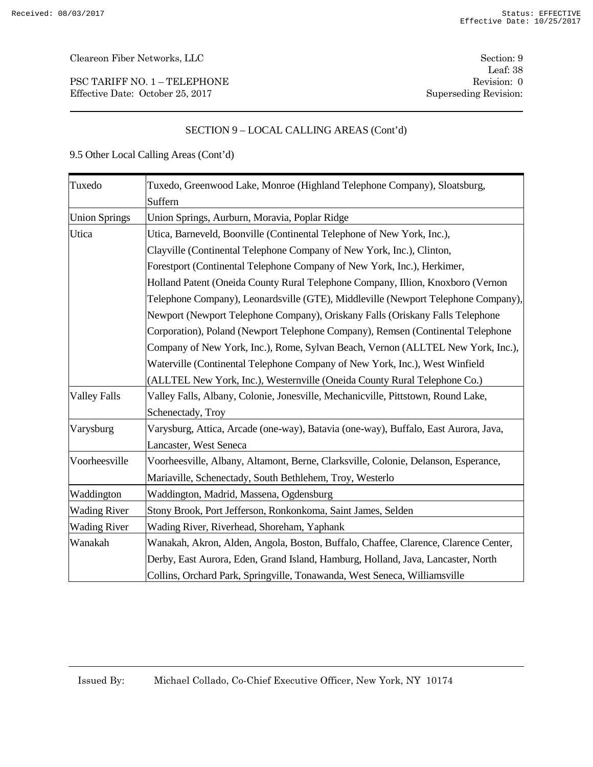PSC TARIFF NO. 1 – TELEPHONE Revision: 0 Effective Date: October 25, 2017 Superseding Revision:

### SECTION 9 – LOCAL CALLING AREAS (Cont'd)

| Tuxedo               | Tuxedo, Greenwood Lake, Monroe (Highland Telephone Company), Sloatsburg,            |  |
|----------------------|-------------------------------------------------------------------------------------|--|
|                      | Suffern                                                                             |  |
| <b>Union Springs</b> | Union Springs, Aurburn, Moravia, Poplar Ridge                                       |  |
| Utica                | Utica, Barneveld, Boonville (Continental Telephone of New York, Inc.),              |  |
|                      | Clayville (Continental Telephone Company of New York, Inc.), Clinton,               |  |
|                      | Forestport (Continental Telephone Company of New York, Inc.), Herkimer,             |  |
|                      | Holland Patent (Oneida County Rural Telephone Company, Illion, Knoxboro (Vernon)    |  |
|                      | Telephone Company), Leonardsville (GTE), Middleville (Newport Telephone Company),   |  |
|                      | Newport (Newport Telephone Company), Oriskany Falls (Oriskany Falls Telephone       |  |
|                      | Corporation), Poland (Newport Telephone Company), Remsen (Continental Telephone     |  |
|                      | Company of New York, Inc.), Rome, Sylvan Beach, Vernon (ALLTEL New York, Inc.),     |  |
|                      | Waterville (Continental Telephone Company of New York, Inc.), West Winfield         |  |
|                      | (ALLTEL New York, Inc.), Westernville (Oneida County Rural Telephone Co.)           |  |
| <b>Valley Falls</b>  | Valley Falls, Albany, Colonie, Jonesville, Mechanicville, Pittstown, Round Lake,    |  |
|                      | Schenectady, Troy                                                                   |  |
| Varysburg            | Varysburg, Attica, Arcade (one-way), Batavia (one-way), Buffalo, East Aurora, Java, |  |
|                      | Lancaster, West Seneca                                                              |  |
| Voorheesville        | Voorheesville, Albany, Altamont, Berne, Clarksville, Colonie, Delanson, Esperance,  |  |
|                      | Mariaville, Schenectady, South Bethlehem, Troy, Westerlo                            |  |
| Waddington           | Waddington, Madrid, Massena, Ogdensburg                                             |  |
| <b>Wading River</b>  | Stony Brook, Port Jefferson, Ronkonkoma, Saint James, Selden                        |  |
| <b>Wading River</b>  | Wading River, Riverhead, Shoreham, Yaphank                                          |  |
| Wanakah              | Wanakah, Akron, Alden, Angola, Boston, Buffalo, Chaffee, Clarence, Clarence Center, |  |
|                      | Derby, East Aurora, Eden, Grand Island, Hamburg, Holland, Java, Lancaster, North    |  |
|                      | Collins, Orchard Park, Springville, Tonawanda, West Seneca, Williamsville           |  |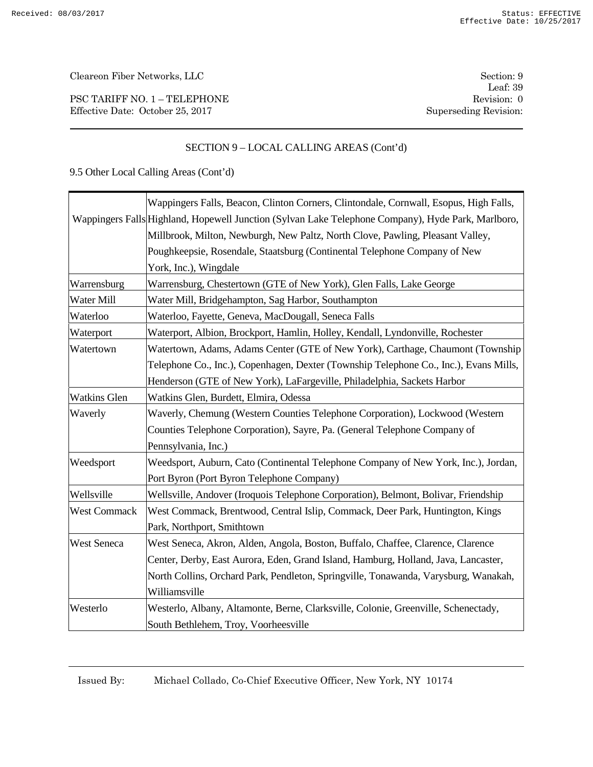PSC TARIFF NO. 1 – TELEPHONE Revision: 0 Effective Date: October 25, 2017 Superseding Revision:

Leaf: 39

### SECTION 9 – LOCAL CALLING AREAS (Cont'd)

|                     | Wappingers Falls, Beacon, Clinton Corners, Clintondale, Cornwall, Esopus, High Falls,              |  |  |
|---------------------|----------------------------------------------------------------------------------------------------|--|--|
|                     | Wappingers Falls Highland, Hopewell Junction (Sylvan Lake Telephone Company), Hyde Park, Marlboro, |  |  |
|                     | Millbrook, Milton, Newburgh, New Paltz, North Clove, Pawling, Pleasant Valley,                     |  |  |
|                     | Poughkeepsie, Rosendale, Staatsburg (Continental Telephone Company of New                          |  |  |
|                     | York, Inc.), Wingdale                                                                              |  |  |
| Warrensburg         | Warrensburg, Chestertown (GTE of New York), Glen Falls, Lake George                                |  |  |
| Water Mill          | Water Mill, Bridgehampton, Sag Harbor, Southampton                                                 |  |  |
| Waterloo            | Waterloo, Fayette, Geneva, MacDougall, Seneca Falls                                                |  |  |
| Waterport           | Waterport, Albion, Brockport, Hamlin, Holley, Kendall, Lyndonville, Rochester                      |  |  |
| Watertown           | Watertown, Adams, Adams Center (GTE of New York), Carthage, Chaumont (Township                     |  |  |
|                     | Telephone Co., Inc.), Copenhagen, Dexter (Township Telephone Co., Inc.), Evans Mills,              |  |  |
|                     | Henderson (GTE of New York), LaFargeville, Philadelphia, Sackets Harbor                            |  |  |
| <b>Watkins Glen</b> | Watkins Glen, Burdett, Elmira, Odessa                                                              |  |  |
| Waverly             | Waverly, Chemung (Western Counties Telephone Corporation), Lockwood (Western                       |  |  |
|                     | Counties Telephone Corporation), Sayre, Pa. (General Telephone Company of                          |  |  |
|                     | Pennsylvania, Inc.)                                                                                |  |  |
| Weedsport           | Weedsport, Auburn, Cato (Continental Telephone Company of New York, Inc.), Jordan,                 |  |  |
|                     | Port Byron (Port Byron Telephone Company)                                                          |  |  |
| Wellsville          | Wellsville, Andover (Iroquois Telephone Corporation), Belmont, Bolivar, Friendship                 |  |  |
| <b>West Commack</b> | West Commack, Brentwood, Central Islip, Commack, Deer Park, Huntington, Kings                      |  |  |
|                     | Park, Northport, Smithtown                                                                         |  |  |
| <b>West Seneca</b>  | West Seneca, Akron, Alden, Angola, Boston, Buffalo, Chaffee, Clarence, Clarence                    |  |  |
|                     | Center, Derby, East Aurora, Eden, Grand Island, Hamburg, Holland, Java, Lancaster,                 |  |  |
|                     | North Collins, Orchard Park, Pendleton, Springville, Tonawanda, Varysburg, Wanakah,                |  |  |
|                     | Williamsville                                                                                      |  |  |
| Westerlo            | Westerlo, Albany, Altamonte, Berne, Clarksville, Colonie, Greenville, Schenectady,                 |  |  |
|                     | South Bethlehem, Troy, Voorheesville                                                               |  |  |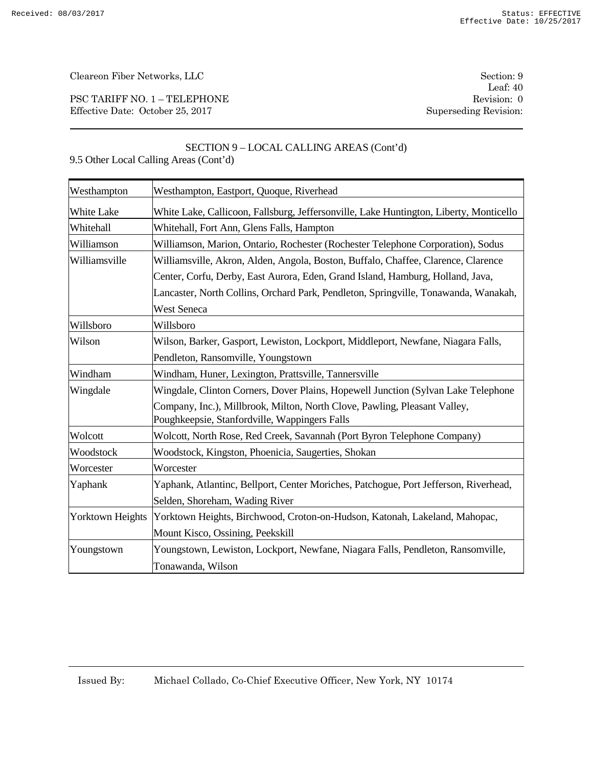PSC TARIFF NO. 1 – TELEPHONE Revision: 0 Effective Date: October 25, 2017 Superseding Revision:

Leaf: 40

# SECTION 9 – LOCAL CALLING AREAS (Cont'd)

| Westhampton      | Westhampton, Eastport, Quoque, Riverhead                                                                                   |
|------------------|----------------------------------------------------------------------------------------------------------------------------|
| White Lake       | White Lake, Callicoon, Fallsburg, Jeffersonville, Lake Huntington, Liberty, Monticello                                     |
| Whitehall        | Whitehall, Fort Ann, Glens Falls, Hampton                                                                                  |
| Williamson       | Williamson, Marion, Ontario, Rochester (Rochester Telephone Corporation), Sodus                                            |
| Williamsville    | Williamsville, Akron, Alden, Angola, Boston, Buffalo, Chaffee, Clarence, Clarence                                          |
|                  | Center, Corfu, Derby, East Aurora, Eden, Grand Island, Hamburg, Holland, Java,                                             |
|                  | Lancaster, North Collins, Orchard Park, Pendleton, Springville, Tonawanda, Wanakah,                                        |
|                  | <b>West Seneca</b>                                                                                                         |
| Willsboro        | Willsboro                                                                                                                  |
| Wilson           | Wilson, Barker, Gasport, Lewiston, Lockport, Middleport, Newfane, Niagara Falls,                                           |
|                  | Pendleton, Ransomville, Youngstown                                                                                         |
| Windham          | Windham, Huner, Lexington, Prattsville, Tannersville                                                                       |
| Wingdale         | Wingdale, Clinton Corners, Dover Plains, Hopewell Junction (Sylvan Lake Telephone                                          |
|                  | Company, Inc.), Millbrook, Milton, North Clove, Pawling, Pleasant Valley,<br>Poughkeepsie, Stanfordville, Wappingers Falls |
| Wolcott          | Wolcott, North Rose, Red Creek, Savannah (Port Byron Telephone Company)                                                    |
| Woodstock        | Woodstock, Kingston, Phoenicia, Saugerties, Shokan                                                                         |
| Worcester        | Worcester                                                                                                                  |
| Yaphank          | Yaphank, Atlantinc, Bellport, Center Moriches, Patchogue, Port Jefferson, Riverhead,                                       |
|                  | Selden, Shoreham, Wading River                                                                                             |
| Yorktown Heights | Yorktown Heights, Birchwood, Croton-on-Hudson, Katonah, Lakeland, Mahopac,                                                 |
|                  | Mount Kisco, Ossining, Peekskill                                                                                           |
| Youngstown       | Youngstown, Lewiston, Lockport, Newfane, Niagara Falls, Pendleton, Ransomville,                                            |
|                  | Tonawanda, Wilson                                                                                                          |